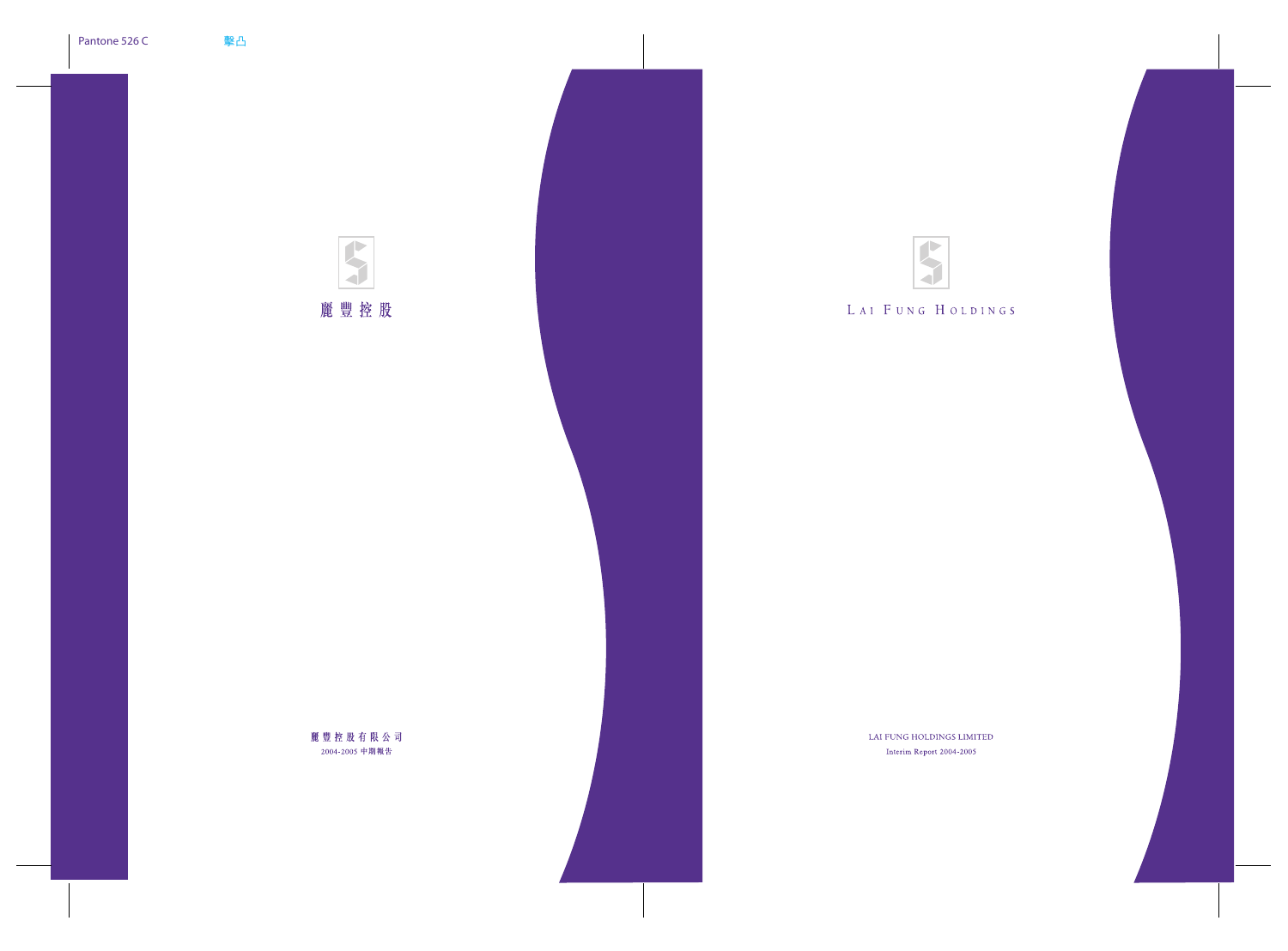

# LAI FUNG HOLDINGS

LAI FUNG HOLDINGS LIMITED

Interim Report 2004-2005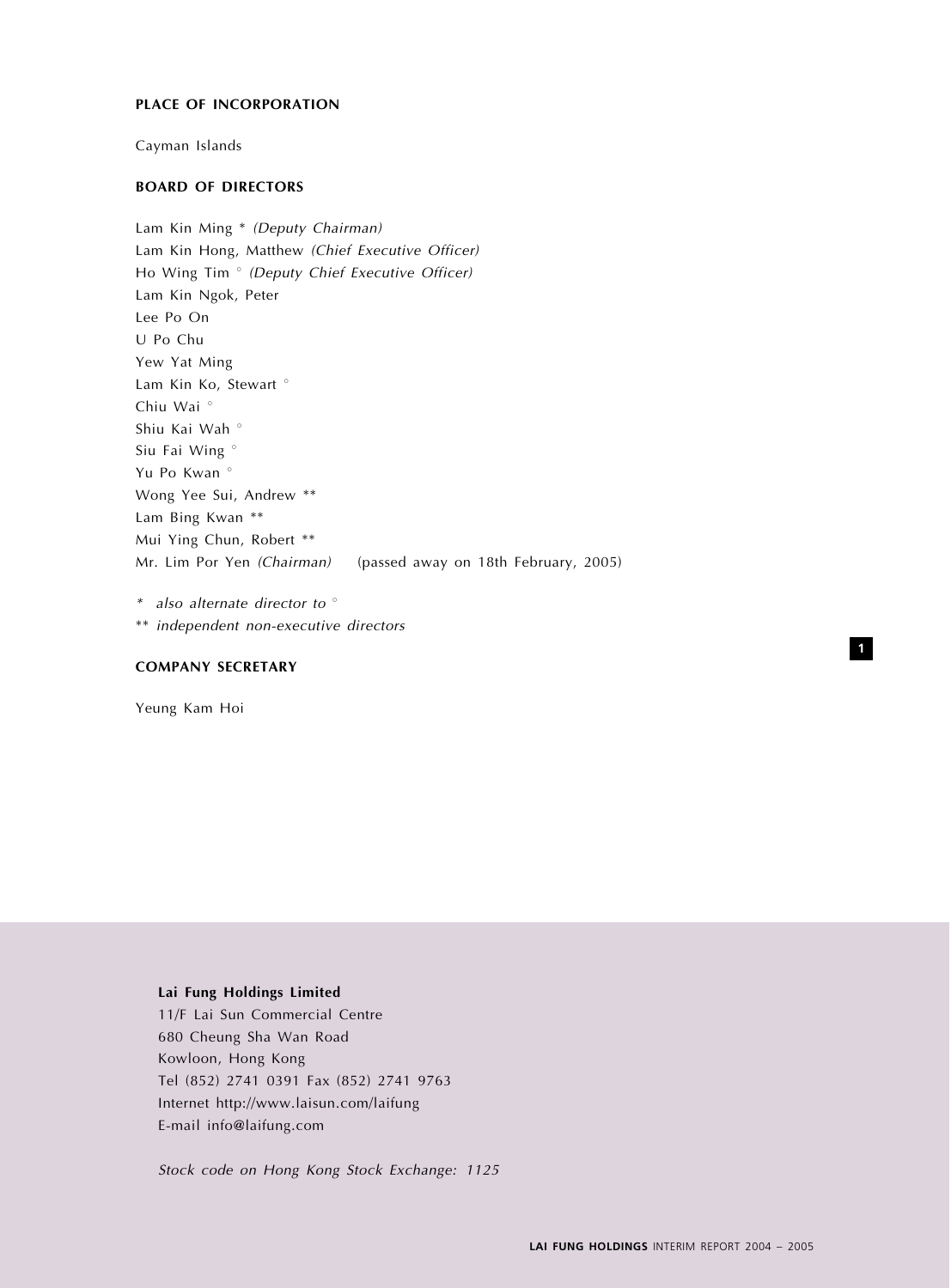## PLACE OF INCORPORATION

Cayman Islands

## BOARD OF DIRECTORS

Lam Kin Ming \* (Deputy Chairman) Lam Kin Hong, Matthew (Chief Executive Officer) Ho Wing Tim <sup>o</sup> (Deputy Chief Executive Officer) Lam Kin Ngok, Peter Lee Po On U Po Chu Yew Yat Ming Lam Kin Ko, Stewart<sup>o</sup> Chiu Wai<sup>o</sup> Shiu Kai Wah<sup>o</sup> Siu Fai Wing<sup>o</sup> Yu Po Kwan<sup>o</sup> Wong Yee Sui, Andrew \*\* Lam Bing Kwan \*\* Mui Ying Chun, Robert \*\* Mr. Lim Por Yen (Chairman) (passed away on 18th February, 2005)

 $*$  also alternate director to  $\circ$ \*\* independent non-executive directors

## COMPANY SECRETARY

Yeung Kam Hoi

## Lai Fung Holdings Limited

11/F Lai Sun Commercial Centre 680 Cheung Sha Wan Road Kowloon, Hong Kong Tel (852) 2741 0391 Fax (852) 2741 9763 Internet http://www.laisun.com/laifung E-mail info@laifung.com

Stock code on Hong Kong Stock Exchange: 1125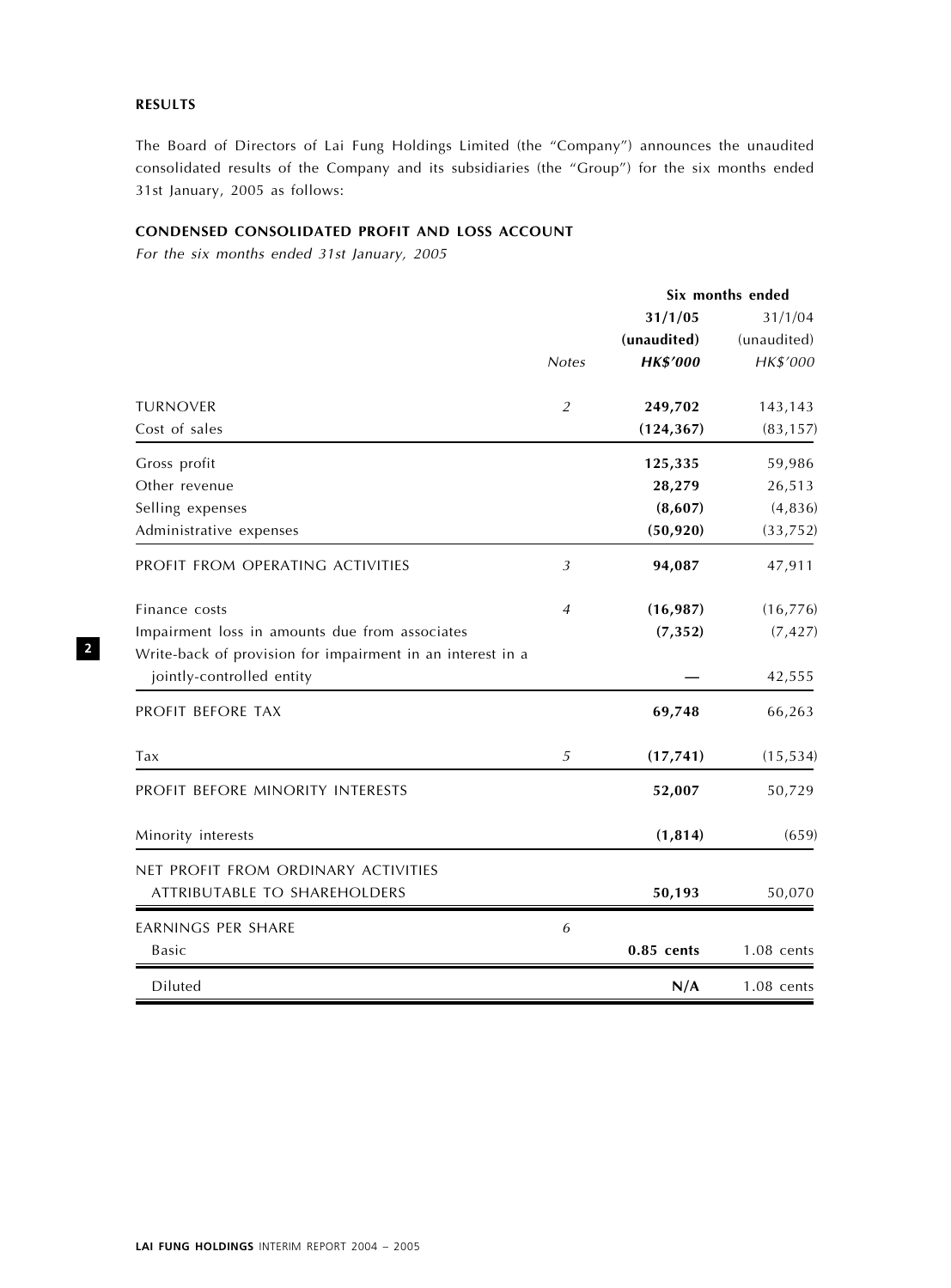# RESULTS

The Board of Directors of Lai Fung Holdings Limited (the "Company") announces the unaudited consolidated results of the Company and its subsidiaries (the ''Group'') for the six months ended 31st January, 2005 as follows:

# CONDENSED CONSOLIDATED PROFIT AND LOSS ACCOUNT

For the six months ended 31st January, 2005

|                                                                                         |                | Six months ended |              |  |
|-----------------------------------------------------------------------------------------|----------------|------------------|--------------|--|
|                                                                                         |                | 31/1/05          | 31/1/04      |  |
|                                                                                         |                | (unaudited)      | (unaudited)  |  |
|                                                                                         | <b>Notes</b>   | <b>HK\$'000</b>  | HK\$'000     |  |
| <b>TURNOVER</b>                                                                         | $\overline{2}$ | 249,702          | 143,143      |  |
| Cost of sales                                                                           |                | (124, 367)       | (83, 157)    |  |
| Gross profit                                                                            |                | 125,335          | 59,986       |  |
| Other revenue                                                                           |                | 28,279           | 26,513       |  |
| Selling expenses                                                                        |                | (8,607)          | (4, 836)     |  |
| Administrative expenses                                                                 |                | (50, 920)        | (33, 752)    |  |
| PROFIT FROM OPERATING ACTIVITIES                                                        | $\mathfrak{Z}$ | 94,087           | 47,911       |  |
| Finance costs                                                                           | $\overline{4}$ | (16, 987)        | (16, 776)    |  |
| Impairment loss in amounts due from associates                                          |                | (7, 352)         | (7, 427)     |  |
| Write-back of provision for impairment in an interest in a<br>jointly-controlled entity |                |                  | 42,555       |  |
| PROFIT BEFORE TAX                                                                       |                | 69,748           | 66,263       |  |
| Tax                                                                                     | 5              | (17, 741)        | (15, 534)    |  |
| PROFIT BEFORE MINORITY INTERESTS                                                        |                | 52,007           | 50,729       |  |
| Minority interests                                                                      |                | (1, 814)         | (659)        |  |
| NET PROFIT FROM ORDINARY ACTIVITIES                                                     |                |                  |              |  |
| ATTRIBUTABLE TO SHAREHOLDERS                                                            |                | 50,193           | 50,070       |  |
| <b>EARNINGS PER SHARE</b>                                                               | 6              |                  |              |  |
| <b>Basic</b>                                                                            |                | 0.85 cents       | $1.08$ cents |  |
| Diluted                                                                                 |                | N/A              | $1.08$ cents |  |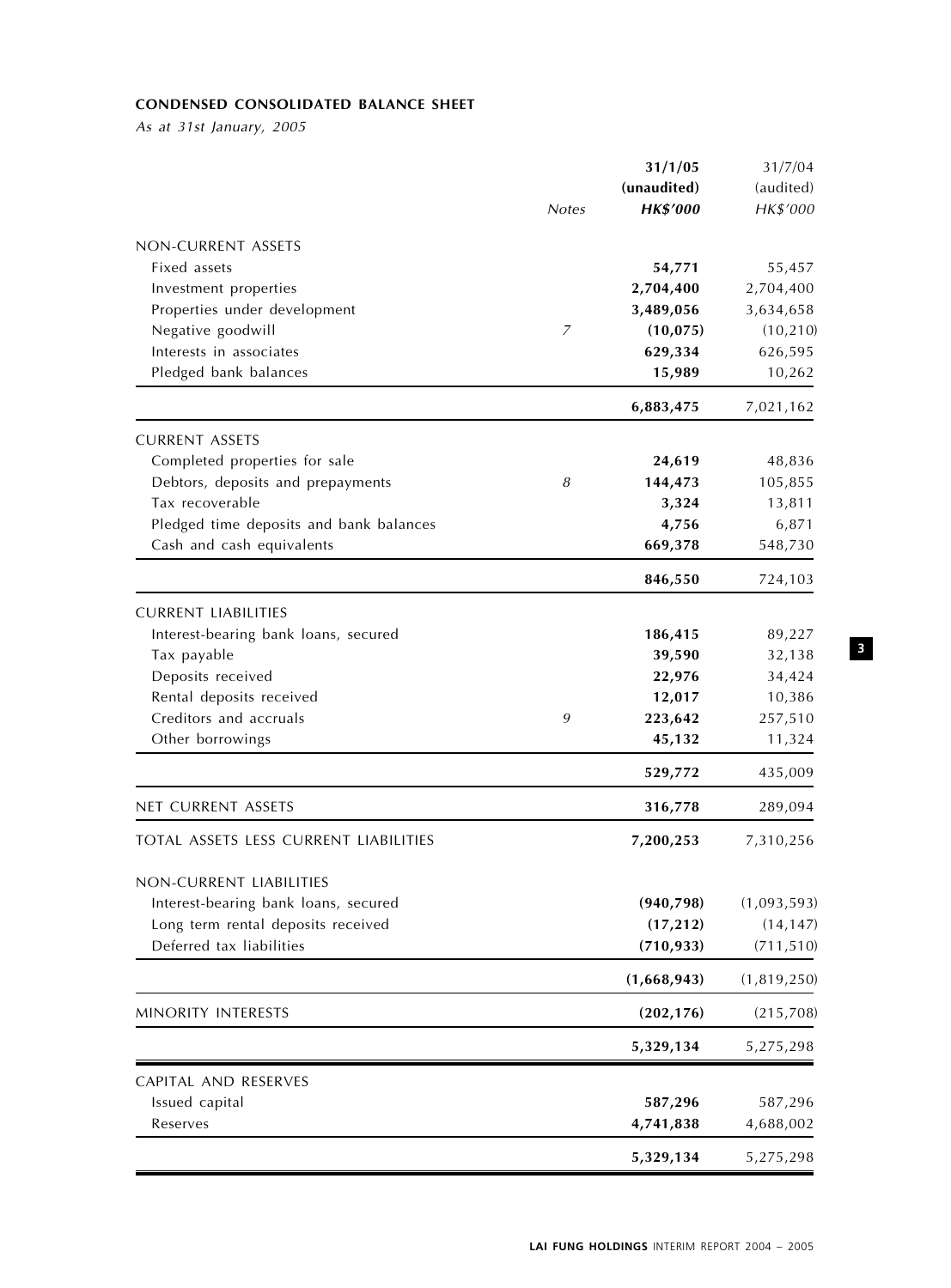# CONDENSED CONSOLIDATED BALANCE SHEET

As at 31st January, 2005

|                                         | <b>Notes</b> | 31/1/05<br>(unaudited)<br><b>HK\$'000</b> | 31/7/04<br>(audited)<br>HK\$'000 |
|-----------------------------------------|--------------|-------------------------------------------|----------------------------------|
| NON-CURRENT ASSETS                      |              |                                           |                                  |
| Fixed assets                            |              | 54,771                                    | 55,457                           |
| Investment properties                   |              | 2,704,400                                 | 2,704,400                        |
| Properties under development            |              | 3,489,056                                 | 3,634,658                        |
| Negative goodwill                       | 7            | (10, 075)                                 | (10, 210)                        |
| Interests in associates                 |              | 629,334                                   | 626,595                          |
| Pledged bank balances                   |              | 15,989                                    | 10,262                           |
|                                         |              | 6,883,475                                 | 7,021,162                        |
| <b>CURRENT ASSETS</b>                   |              |                                           |                                  |
| Completed properties for sale           |              | 24,619                                    | 48,836                           |
| Debtors, deposits and prepayments       | 8            | 144,473                                   | 105,855                          |
| Tax recoverable                         |              | 3,324                                     | 13,811                           |
| Pledged time deposits and bank balances |              | 4,756                                     | 6,871                            |
| Cash and cash equivalents               |              | 669,378                                   | 548,730                          |
|                                         |              | 846,550                                   | 724,103                          |
| <b>CURRENT LIABILITIES</b>              |              |                                           |                                  |
| Interest-bearing bank loans, secured    |              | 186,415                                   | 89,227                           |
| Tax payable                             |              | 39,590                                    | 32,138                           |
| Deposits received                       |              | 22,976                                    | 34,424                           |
| Rental deposits received                |              | 12,017                                    | 10,386                           |
| Creditors and accruals                  | 9            | 223,642                                   | 257,510                          |
| Other borrowings                        |              | 45,132                                    | 11,324                           |
|                                         |              | 529,772                                   | 435,009                          |
| NET CURRENT ASSETS                      |              | 316,778                                   | 289,094                          |
| TOTAL ASSETS LESS CURRENT LIABILITIES   |              | 7,200,253                                 | 7,310,256                        |
| NON-CURRENT LIABILITIES                 |              |                                           |                                  |
| Interest-bearing bank loans, secured    |              | (940, 798)                                | (1,093,593)                      |
| Long term rental deposits received      |              | (17, 212)                                 | (14, 147)                        |
| Deferred tax liabilities                |              | (710, 933)                                | (711, 510)                       |
|                                         |              | (1,668,943)                               | (1,819,250)                      |
| MINORITY INTERESTS                      |              | (202, 176)                                | (215,708)                        |
|                                         |              | 5,329,134                                 | 5,275,298                        |
| CAPITAL AND RESERVES                    |              |                                           |                                  |
| Issued capital                          |              | 587,296                                   | 587,296                          |
| Reserves                                |              | 4,741,838                                 | 4,688,002                        |
|                                         |              | 5,329,134                                 | 5,275,298                        |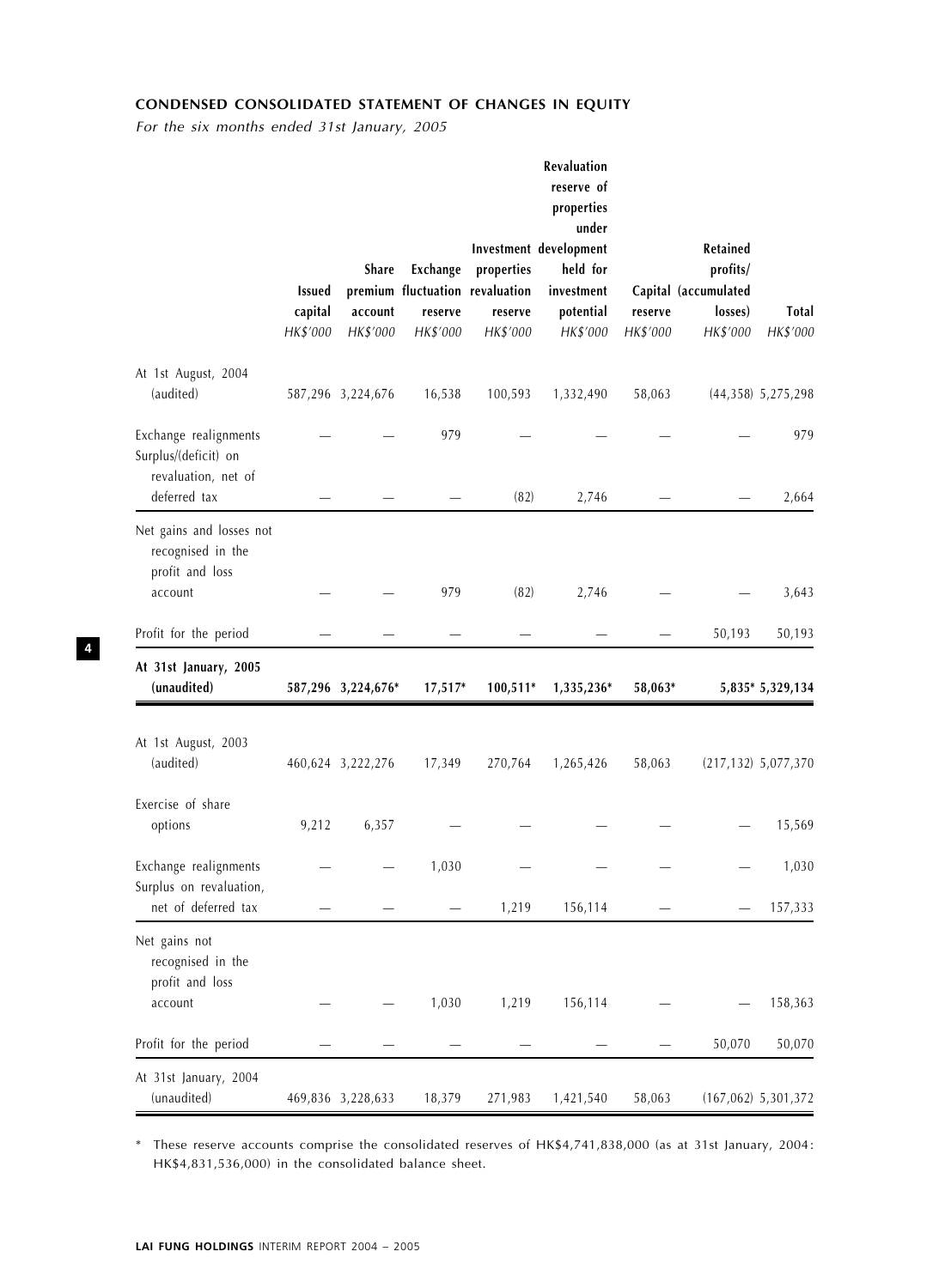# CONDENSED CONSOLIDATED STATEMENT OF CHANGES IN EQUITY

For the six months ended 31st January, 2005

|                                                                                      | <b>Issued</b><br>capital<br>HK\$'000 | Share<br>account<br>HK\$'000 | Exchange<br>reserve<br>HK\$'000 | properties<br>premium fluctuation revaluation<br>reserve<br>HK\$'000 | Revaluation<br>reserve of<br>properties<br>under<br>Investment development<br>held for<br>investment<br>potential<br>HK\$'000 | reserve<br>HK\$'000 | Retained<br>profits/<br>Capital (accumulated<br>losses)<br>HK\$'000 | Total<br>HK\$'000        |
|--------------------------------------------------------------------------------------|--------------------------------------|------------------------------|---------------------------------|----------------------------------------------------------------------|-------------------------------------------------------------------------------------------------------------------------------|---------------------|---------------------------------------------------------------------|--------------------------|
| At 1st August, 2004<br>(audited)                                                     |                                      | 587,296 3,224,676            | 16,538                          | 100,593                                                              | 1,332,490                                                                                                                     | 58,063              |                                                                     | $(44,358)$ 5,275,298     |
| Exchange realignments<br>Surplus/(deficit) on<br>revaluation, net of<br>deferred tax |                                      |                              | 979                             |                                                                      |                                                                                                                               |                     |                                                                     | 979                      |
| Net gains and losses not<br>recognised in the<br>profit and loss<br>account          |                                      |                              | 979                             | (82)<br>(82)                                                         | 2,746<br>2,746                                                                                                                |                     |                                                                     | 2,664<br>3,643           |
| Profit for the period                                                                |                                      |                              |                                 |                                                                      |                                                                                                                               |                     | 50,193                                                              | 50,193                   |
| At 31st January, 2005<br>(unaudited)                                                 |                                      | 587,296 3,224,676*           | 17,517*                         | 100,511*                                                             | 1,335,236*                                                                                                                    | 58,063*             |                                                                     | 5,835* 5,329,134         |
| At 1st August, 2003<br>(audited)                                                     |                                      | 460,624 3,222,276            | 17,349                          | 270,764                                                              | 1,265,426                                                                                                                     | 58,063              |                                                                     | $(217, 132)$ 5,077,370   |
| Exercise of share<br>options                                                         | 9,212                                | 6,357                        |                                 |                                                                      |                                                                                                                               |                     |                                                                     | 15,569                   |
| Exchange realignments<br>Surplus on revaluation,<br>net of deferred tax              |                                      |                              | 1,030                           |                                                                      |                                                                                                                               |                     |                                                                     | 1,030                    |
| Net gains not<br>recognised in the<br>profit and loss<br>account                     |                                      |                              | 1,030                           | 1,219<br>1,219                                                       | 156,114<br>156,114                                                                                                            |                     |                                                                     | 157,333<br>158,363       |
| Profit for the period                                                                |                                      |                              |                                 |                                                                      |                                                                                                                               |                     | 50,070                                                              | 50,070                   |
| At 31st January, 2004<br>(unaudited)                                                 |                                      | 469,836 3,228,633            | 18,379                          | 271,983                                                              | 1,421,540                                                                                                                     | 58,063              |                                                                     | $(167, 062)$ 5, 301, 372 |

\* These reserve accounts comprise the consolidated reserves of HK\$4,741,838,000 (as at 31st January, 2004: HK\$4,831,536,000) in the consolidated balance sheet.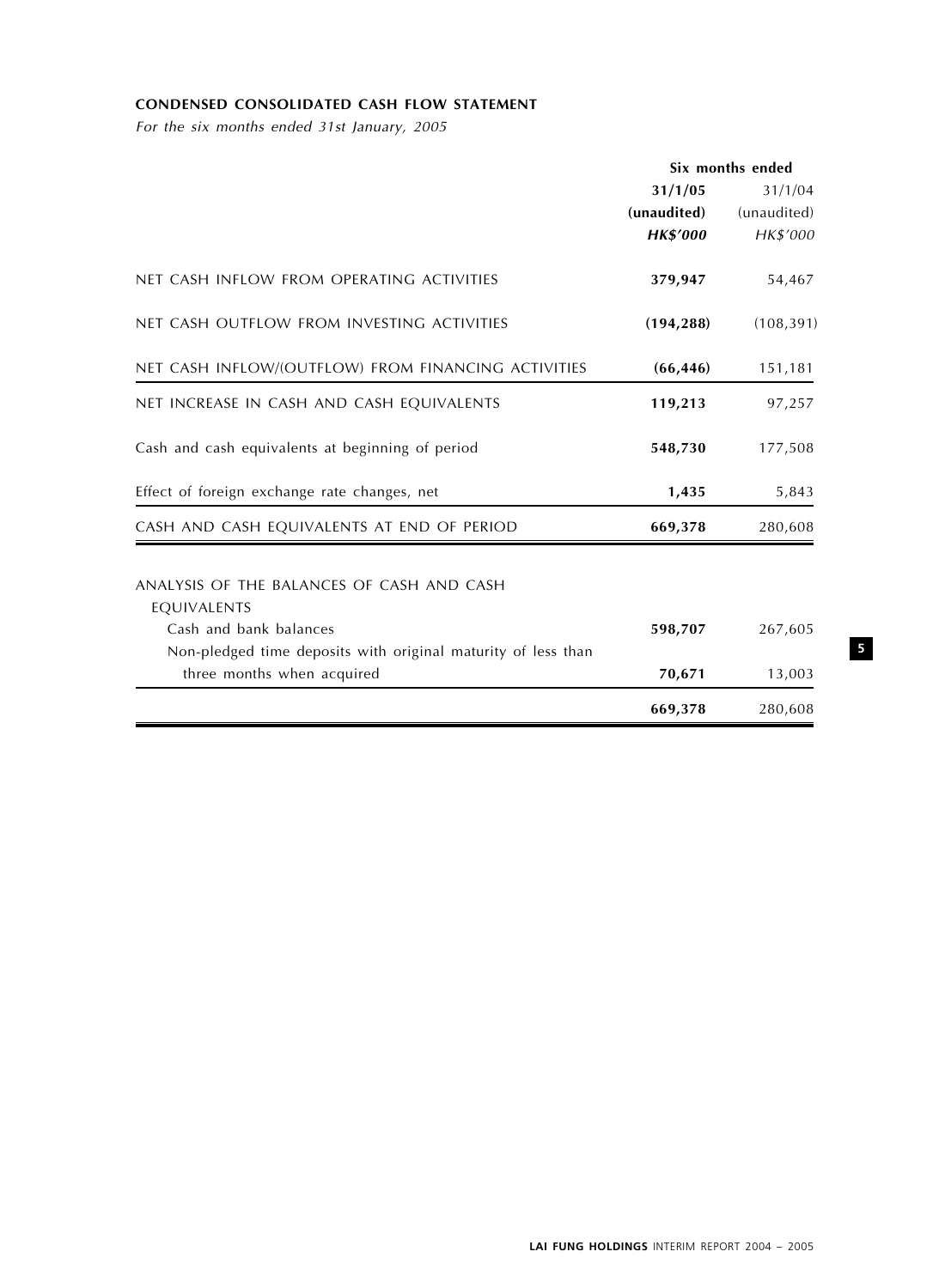# CONDENSED CONSOLIDATED CASH FLOW STATEMENT

For the six months ended 31st January, 2005

|                                                               | Six months ended |             |
|---------------------------------------------------------------|------------------|-------------|
|                                                               | 31/1/05          | 31/1/04     |
|                                                               | (unaudited)      | (unaudited) |
|                                                               | <b>HK\$'000</b>  | HK\$'000    |
| NET CASH INFLOW FROM OPERATING ACTIVITIES                     | 379,947          | 54,467      |
| NET CASH OUTFLOW FROM INVESTING ACTIVITIES                    | (194, 288)       | (108, 391)  |
| NET CASH INFLOW/(OUTFLOW) FROM FINANCING ACTIVITIES           | (66, 446)        | 151,181     |
| NET INCREASE IN CASH AND CASH EQUIVALENTS                     | 119,213          | 97,257      |
| Cash and cash equivalents at beginning of period              | 548,730          | 177,508     |
| Effect of foreign exchange rate changes, net                  | 1,435            | 5,843       |
| CASH AND CASH EQUIVALENTS AT END OF PERIOD                    | 669,378          | 280,608     |
| ANALYSIS OF THE BALANCES OF CASH AND CASH                     |                  |             |
| EQUIVALENTS                                                   |                  |             |
| Cash and bank balances                                        | 598,707          | 267,605     |
| Non-pledged time deposits with original maturity of less than |                  |             |
| three months when acquired                                    | 70,671           | 13,003      |
|                                                               | 669,378          | 280,608     |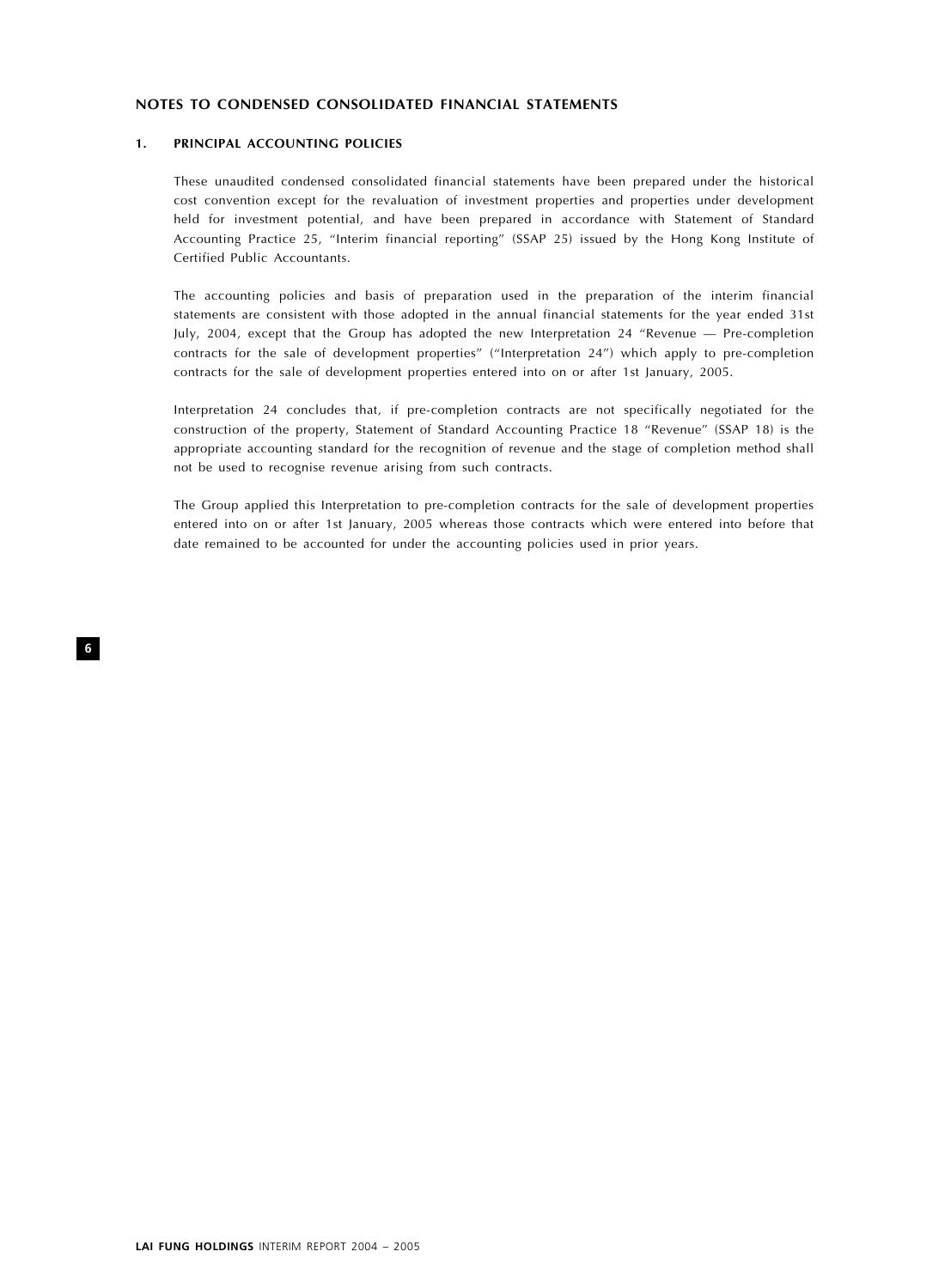## NOTES TO CONDENSED CONSOLIDATED FINANCIAL STATEMENTS

#### 1. PRINCIPAL ACCOUNTING POLICIES

These unaudited condensed consolidated financial statements have been prepared under the historical cost convention except for the revaluation of investment properties and properties under development held for investment potential, and have been prepared in accordance with Statement of Standard Accounting Practice 25, ''Interim financial reporting'' (SSAP 25) issued by the Hong Kong Institute of Certified Public Accountants.

The accounting policies and basis of preparation used in the preparation of the interim financial statements are consistent with those adopted in the annual financial statements for the year ended 31st July, 2004, except that the Group has adopted the new Interpretation 24 ''Revenue — Pre-completion contracts for the sale of development properties'' (''Interpretation 24'') which apply to pre-completion contracts for the sale of development properties entered into on or after 1st January, 2005.

Interpretation 24 concludes that, if pre-completion contracts are not specifically negotiated for the construction of the property, Statement of Standard Accounting Practice 18 "Revenue" (SSAP 18) is the appropriate accounting standard for the recognition of revenue and the stage of completion method shall not be used to recognise revenue arising from such contracts.

The Group applied this Interpretation to pre-completion contracts for the sale of development properties entered into on or after 1st January, 2005 whereas those contracts which were entered into before that date remained to be accounted for under the accounting policies used in prior years.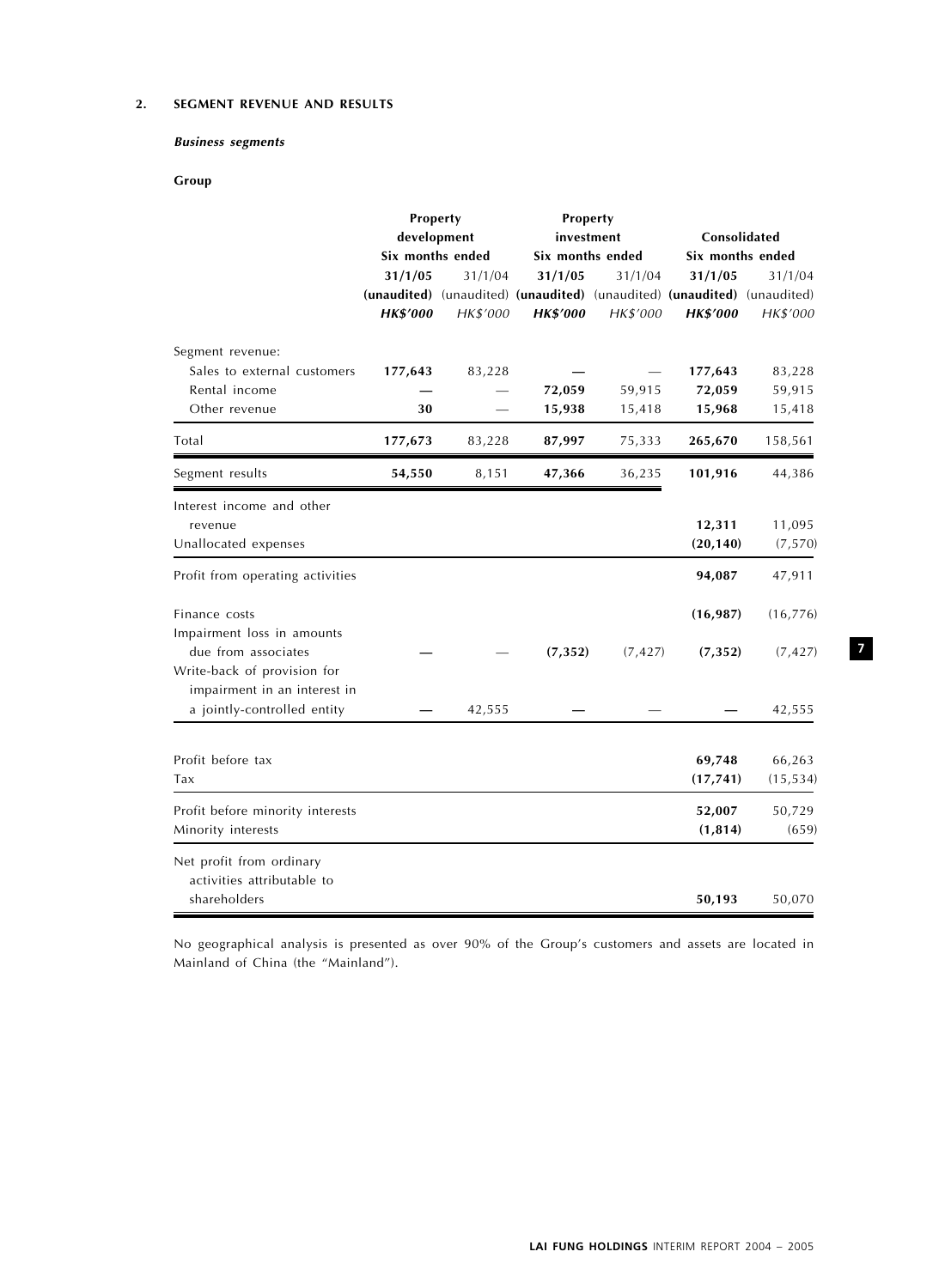## 2. SEGMENT REVENUE AND RESULTS

## Business segments

# Group

|                                  | Property         |          | Property                                                                |          |                  |           |  |
|----------------------------------|------------------|----------|-------------------------------------------------------------------------|----------|------------------|-----------|--|
|                                  | development      |          | investment                                                              |          | Consolidated     |           |  |
|                                  | Six months ended |          | Six months ended                                                        |          | Six months ended |           |  |
|                                  | 31/1/05          | 31/1/04  | 31/1/05                                                                 | 31/1/04  | 31/1/05          | 31/1/04   |  |
|                                  |                  |          | (unaudited) (unaudited) (unaudited) (unaudited) (unaudited) (unaudited) |          |                  |           |  |
|                                  | <b>HK\$'000</b>  | HK\$'000 | <b>HK\$'000</b>                                                         | HK\$'000 | <b>HK\$'000</b>  | HK\$'000  |  |
| Segment revenue:                 |                  |          |                                                                         |          |                  |           |  |
| Sales to external customers      | 177,643          | 83,228   |                                                                         |          | 177,643          | 83,228    |  |
| Rental income                    |                  |          | 72,059                                                                  | 59,915   | 72,059           | 59,915    |  |
| Other revenue                    | 30               |          | 15,938                                                                  | 15,418   | 15,968           | 15,418    |  |
| Total                            | 177,673          | 83,228   | 87,997                                                                  | 75,333   | 265,670          | 158,561   |  |
| Segment results                  | 54,550           | 8,151    | 47,366                                                                  | 36,235   | 101,916          | 44,386    |  |
| Interest income and other        |                  |          |                                                                         |          |                  |           |  |
| revenue                          |                  |          |                                                                         |          | 12,311           | 11,095    |  |
| Unallocated expenses             |                  |          |                                                                         |          | (20, 140)        | (7, 570)  |  |
| Profit from operating activities |                  |          |                                                                         |          | 94,087           | 47,911    |  |
| Finance costs                    |                  |          |                                                                         |          | (16, 987)        | (16, 776) |  |
| Impairment loss in amounts       |                  |          |                                                                         |          |                  |           |  |
| due from associates              |                  |          | (7, 352)                                                                | (7, 427) | (7, 352)         | (7, 427)  |  |
| Write-back of provision for      |                  |          |                                                                         |          |                  |           |  |
| impairment in an interest in     |                  |          |                                                                         |          |                  |           |  |
| a jointly-controlled entity      |                  | 42,555   |                                                                         |          |                  | 42,555    |  |
|                                  |                  |          |                                                                         |          |                  |           |  |
| Profit before tax                |                  |          |                                                                         |          | 69,748           | 66,263    |  |
| Tax                              |                  |          |                                                                         |          | (17, 741)        | (15, 534) |  |
| Profit before minority interests |                  |          |                                                                         |          | 52,007           | 50,729    |  |
| Minority interests               |                  |          |                                                                         |          | (1, 814)         | (659)     |  |
| Net profit from ordinary         |                  |          |                                                                         |          |                  |           |  |
| activities attributable to       |                  |          |                                                                         |          |                  |           |  |
| shareholders                     |                  |          |                                                                         |          | 50,193           | 50,070    |  |

No geographical analysis is presented as over 90% of the Group's customers and assets are located in Mainland of China (the ''Mainland'').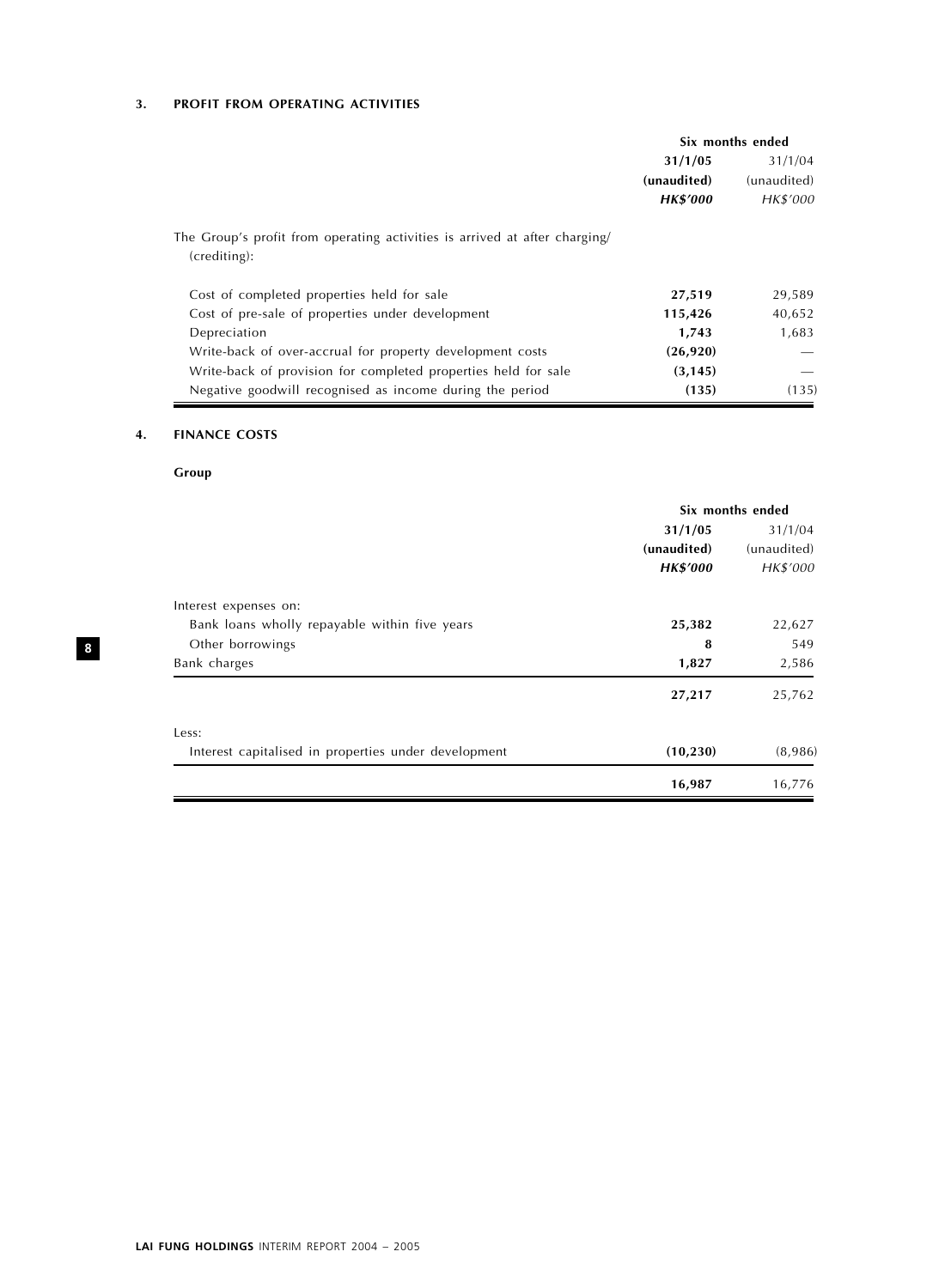# 3. PROFIT FROM OPERATING ACTIVITIES

|                                                                                            | Six months ended |             |
|--------------------------------------------------------------------------------------------|------------------|-------------|
|                                                                                            | 31/1/05          | 31/1/04     |
|                                                                                            | (unaudited)      | (unaudited) |
|                                                                                            | <b>HK\$'000</b>  | HK\$'000    |
| The Group's profit from operating activities is arrived at after charging/<br>(crediting): |                  |             |
| Cost of completed properties held for sale                                                 | 27,519           | 29,589      |
| Cost of pre-sale of properties under development                                           | 115,426          | 40,652      |
| Depreciation                                                                               | 1,743            | 1,683       |
| Write-back of over-accrual for property development costs                                  | (26, 920)        |             |
| Write-back of provision for completed properties held for sale                             | (3, 145)         |             |
| Negative goodwill recognised as income during the period                                   | (135)            | (135)       |

# 4. FINANCE COSTS

# Group

|                                                      | Six months ended |             |  |
|------------------------------------------------------|------------------|-------------|--|
|                                                      | 31/1/05          | 31/1/04     |  |
|                                                      | (unaudited)      | (unaudited) |  |
|                                                      | <b>HK\$'000</b>  | HK\$'000    |  |
| Interest expenses on:                                |                  |             |  |
| Bank loans wholly repayable within five years        | 25,382           | 22,627      |  |
| Other borrowings                                     | 8                | 549         |  |
| Bank charges                                         | 1,827            | 2,586       |  |
|                                                      | 27,217           | 25,762      |  |
| Less:                                                |                  |             |  |
| Interest capitalised in properties under development | (10, 230)        | (8,986)     |  |
|                                                      | 16,987           | 16,776      |  |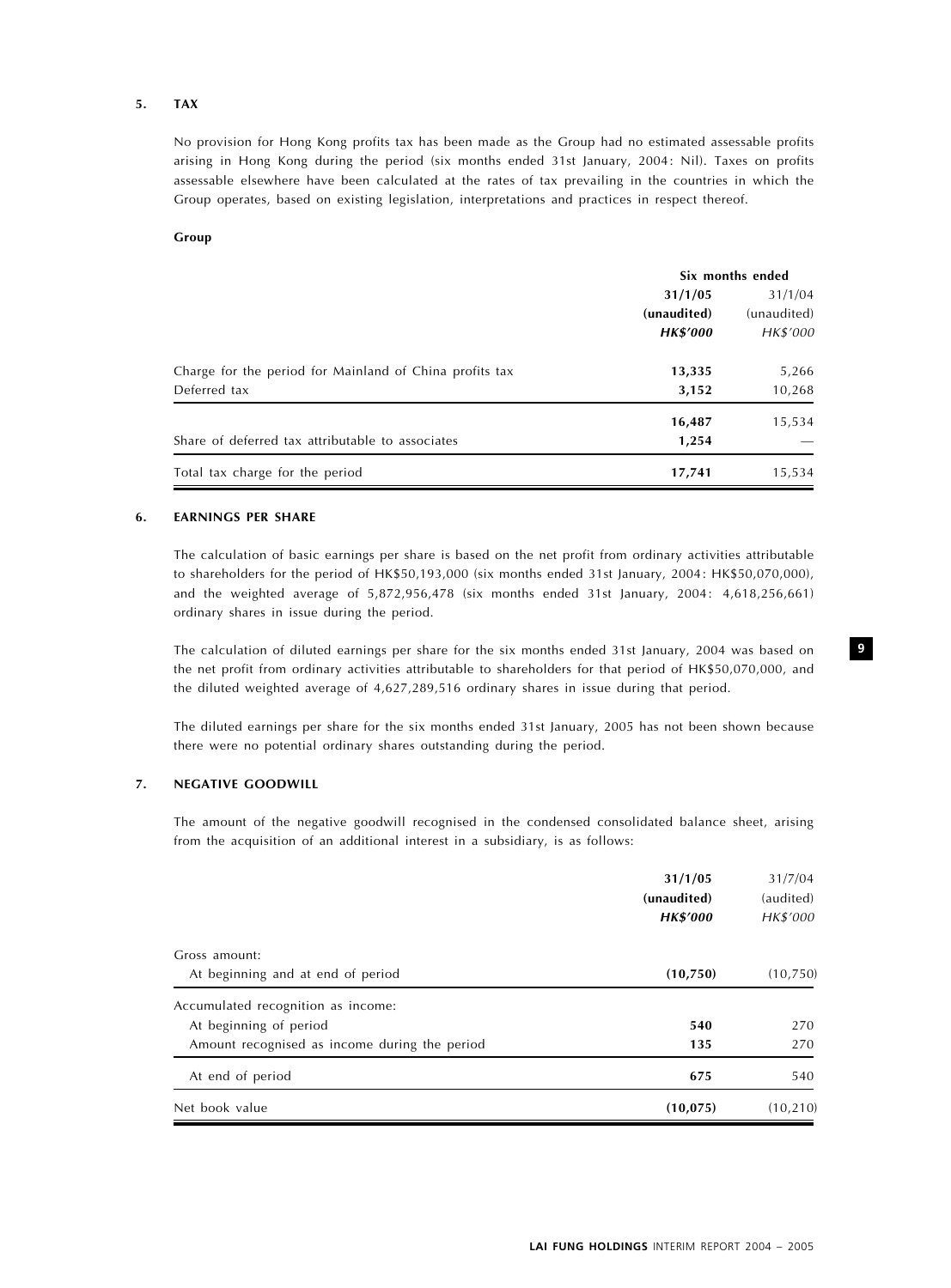#### 5. TAX

No provision for Hong Kong profits tax has been made as the Group had no estimated assessable profits arising in Hong Kong during the period (six months ended 31st January, 2004: Nil). Taxes on profits assessable elsewhere have been calculated at the rates of tax prevailing in the countries in which the Group operates, based on existing legislation, interpretations and practices in respect thereof.

#### Group

|                                                         | Six months ended |             |  |
|---------------------------------------------------------|------------------|-------------|--|
|                                                         | 31/1/05          | 31/1/04     |  |
|                                                         | (unaudited)      | (unaudited) |  |
|                                                         | <b>HK\$'000</b>  | HK\$'000    |  |
| Charge for the period for Mainland of China profits tax | 13,335           | 5,266       |  |
| Deferred tax                                            | 3,152            | 10,268      |  |
|                                                         | 16,487           | 15,534      |  |
| Share of deferred tax attributable to associates        | 1,254            |             |  |
| Total tax charge for the period                         | 17,741           | 15,534      |  |

## 6. EARNINGS PER SHARE

The calculation of basic earnings per share is based on the net profit from ordinary activities attributable to shareholders for the period of HK\$50,193,000 (six months ended 31st January, 2004: HK\$50,070,000), and the weighted average of 5,872,956,478 (six months ended 31st January, 2004: 4,618,256,661) ordinary shares in issue during the period.

The calculation of diluted earnings per share for the six months ended 31st January, 2004 was based on the net profit from ordinary activities attributable to shareholders for that period of HK\$50,070,000, and the diluted weighted average of 4,627,289,516 ordinary shares in issue during that period.

The diluted earnings per share for the six months ended 31st January, 2005 has not been shown because there were no potential ordinary shares outstanding during the period.

#### 7. NEGATIVE GOODWILL

The amount of the negative goodwill recognised in the condensed consolidated balance sheet, arising from the acquisition of an additional interest in a subsidiary, is as follows:

|                                                                         | 31/1/05<br>(unaudited)<br><b>HK\$'000</b> | 31/7/04<br>(audited)<br>HK\$'000 |
|-------------------------------------------------------------------------|-------------------------------------------|----------------------------------|
| Gross amount:                                                           |                                           |                                  |
| At beginning and at end of period<br>Accumulated recognition as income: | (10,750)                                  | (10, 750)                        |
| At beginning of period                                                  | 540                                       | 270                              |
| Amount recognised as income during the period                           | 135                                       | 270                              |
| At end of period                                                        | 675                                       | 540                              |
| Net book value                                                          | (10, 075)                                 | (10, 210)                        |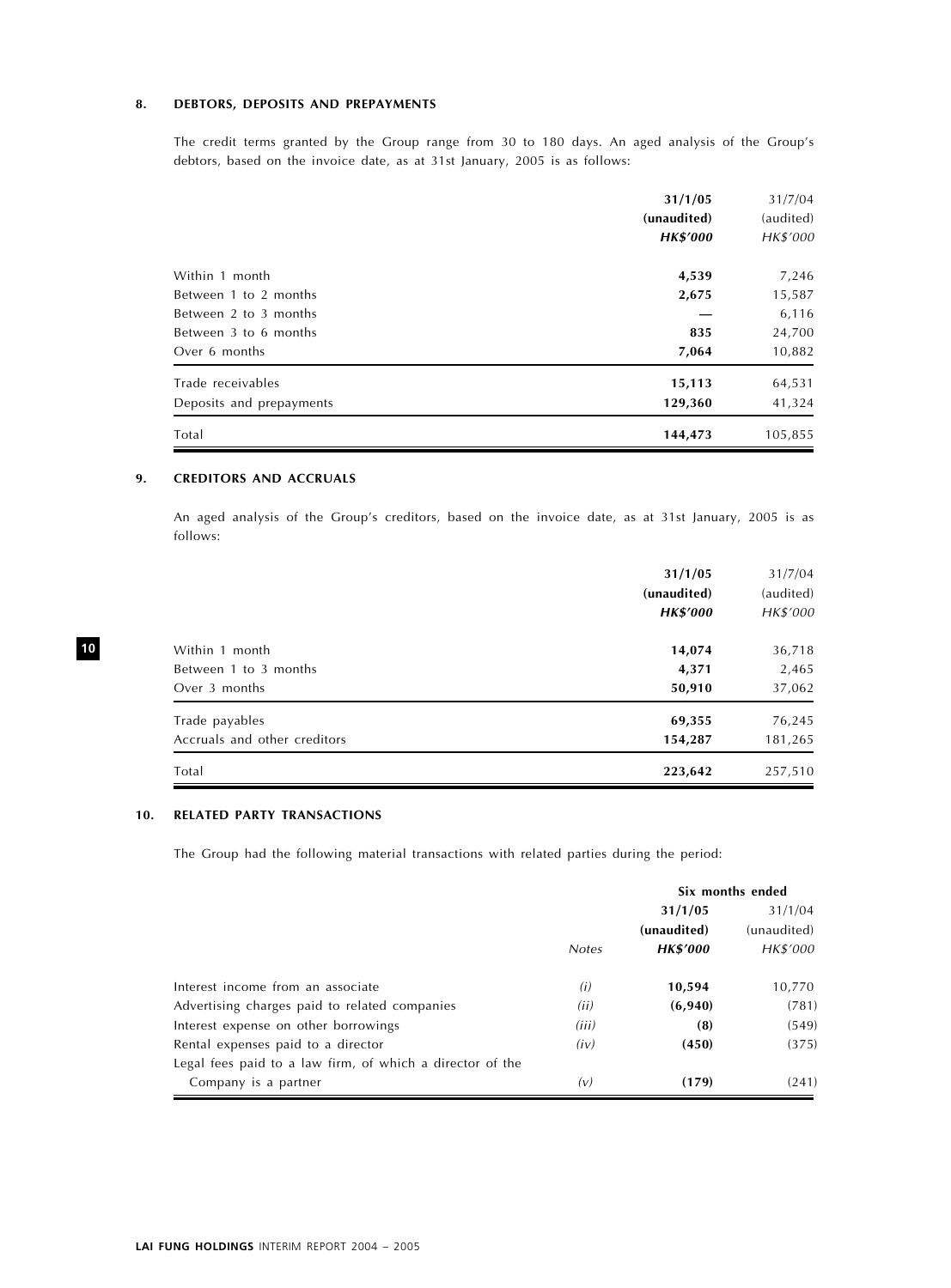## 8. DEBTORS, DEPOSITS AND PREPAYMENTS

The credit terms granted by the Group range from 30 to 180 days. An aged analysis of the Group's debtors, based on the invoice date, as at 31st January, 2005 is as follows:

|                          | 31/1/05<br>(unaudited)<br><b>HK\$'000</b> | 31/7/04<br>(audited)<br>HK\$'000 |
|--------------------------|-------------------------------------------|----------------------------------|
| Within 1 month           | 4,539                                     | 7,246                            |
| Between 1 to 2 months    | 2,675                                     | 15,587                           |
| Between 2 to 3 months    |                                           | 6,116                            |
| Between 3 to 6 months    | 835                                       | 24,700                           |
| Over 6 months            | 7,064                                     | 10,882                           |
| Trade receivables        | 15,113                                    | 64,531                           |
| Deposits and prepayments | 129,360                                   | 41,324                           |
| Total                    | 144,473                                   | 105,855                          |

## 9. CREDITORS AND ACCRUALS

An aged analysis of the Group's creditors, based on the invoice date, as at 31st January, 2005 is as follows:

|                              | 31/1/05<br>(unaudited)<br><b>HK\$'000</b> | 31/7/04<br>(audited)<br>HK\$'000 |
|------------------------------|-------------------------------------------|----------------------------------|
| Within 1 month               | 14,074                                    | 36,718                           |
| Between 1 to 3 months        | 4,371                                     | 2,465                            |
| Over 3 months                | 50,910                                    | 37,062                           |
| Trade payables               | 69,355                                    | 76,245                           |
| Accruals and other creditors | 154,287                                   | 181,265                          |
| Total                        | 223,642                                   | 257,510                          |

### 10. RELATED PARTY TRANSACTIONS

The Group had the following material transactions with related parties during the period:

|                                                           | Six months ended |                 |             |
|-----------------------------------------------------------|------------------|-----------------|-------------|
|                                                           |                  | 31/1/05         | 31/1/04     |
|                                                           |                  | (unaudited)     | (unaudited) |
|                                                           | <b>Notes</b>     | <b>HK\$'000</b> | HK\$'000    |
| Interest income from an associate                         | (i)              | 10,594          | 10,770      |
| Advertising charges paid to related companies             | (ii)             | (6,940)         | (781)       |
| Interest expense on other borrowings                      | (iii)            | (8)             | (549)       |
| Rental expenses paid to a director                        | (iv)             | (450)           | (375)       |
| Legal fees paid to a law firm, of which a director of the |                  |                 |             |
| Company is a partner                                      | (v)              | (179)           | (241)       |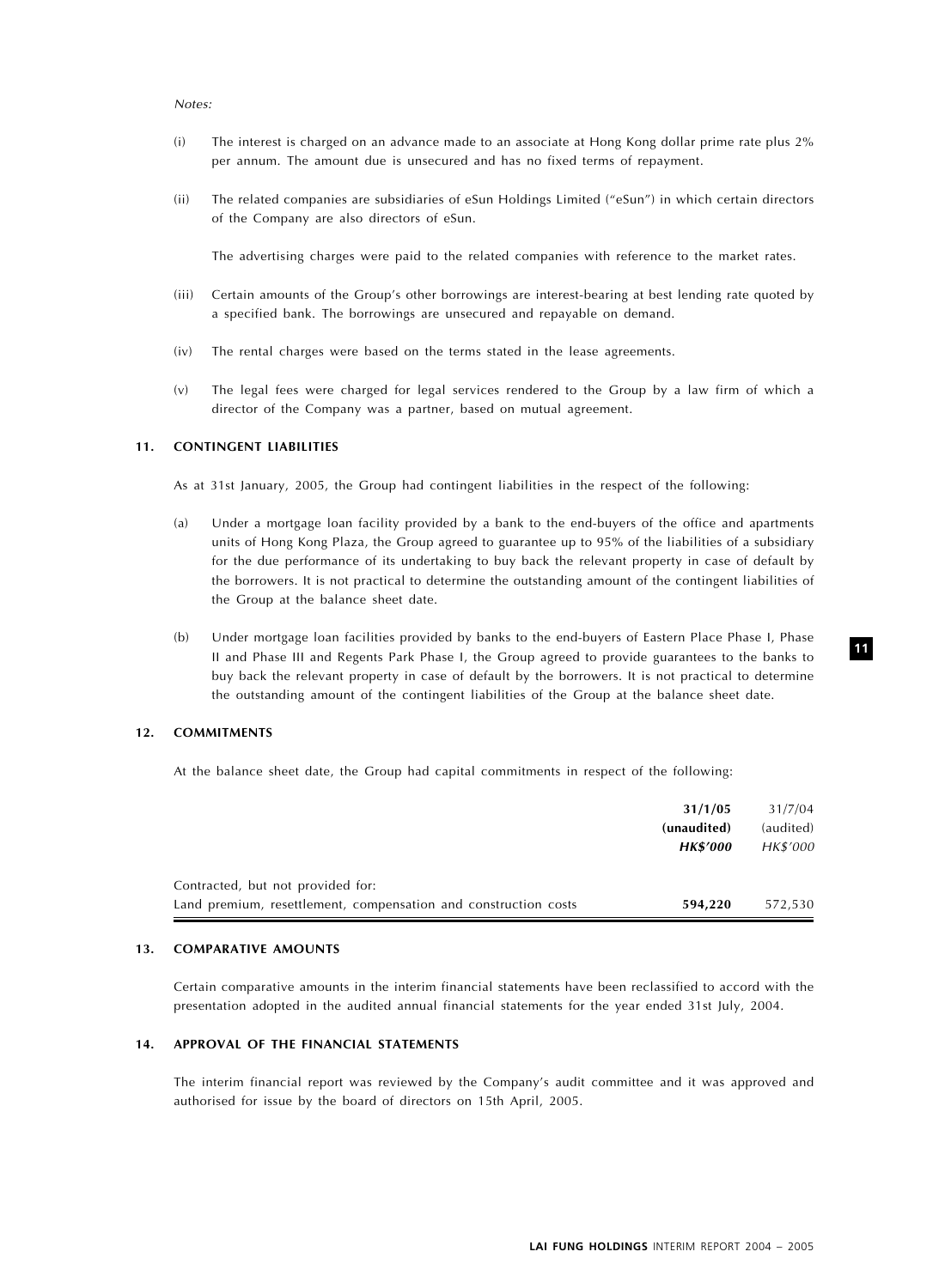#### Notes:

- (i) The interest is charged on an advance made to an associate at Hong Kong dollar prime rate plus 2% per annum. The amount due is unsecured and has no fixed terms of repayment.
- (ii) The related companies are subsidiaries of eSun Holdings Limited (''eSun'') in which certain directors of the Company are also directors of eSun.

The advertising charges were paid to the related companies with reference to the market rates.

- (iii) Certain amounts of the Group's other borrowings are interest-bearing at best lending rate quoted by a specified bank. The borrowings are unsecured and repayable on demand.
- (iv) The rental charges were based on the terms stated in the lease agreements.
- (v) The legal fees were charged for legal services rendered to the Group by a law firm of which a director of the Company was a partner, based on mutual agreement.

#### 11. CONTINGENT LIABILITIES

As at 31st January, 2005, the Group had contingent liabilities in the respect of the following:

- (a) Under a mortgage loan facility provided by a bank to the end-buyers of the office and apartments units of Hong Kong Plaza, the Group agreed to guarantee up to 95% of the liabilities of a subsidiary for the due performance of its undertaking to buy back the relevant property in case of default by the borrowers. It is not practical to determine the outstanding amount of the contingent liabilities of the Group at the balance sheet date.
- (b) Under mortgage loan facilities provided by banks to the end-buyers of Eastern Place Phase I, Phase II and Phase III and Regents Park Phase I, the Group agreed to provide guarantees to the banks to buy back the relevant property in case of default by the borrowers. It is not practical to determine the outstanding amount of the contingent liabilities of the Group at the balance sheet date.

#### 12. COMMITMENTS

At the balance sheet date, the Group had capital commitments in respect of the following:

|                                                                 | 31/1/05         | 31/7/04   |
|-----------------------------------------------------------------|-----------------|-----------|
|                                                                 | (unaudited)     | (audited) |
|                                                                 | <b>HK\$'000</b> | HK\$'000  |
| Contracted, but not provided for:                               |                 |           |
| Land premium, resettlement, compensation and construction costs | 594,220         | 572.530   |

#### 13. COMPARATIVE AMOUNTS

Certain comparative amounts in the interim financial statements have been reclassified to accord with the presentation adopted in the audited annual financial statements for the year ended 31st July, 2004.

#### 14. APPROVAL OF THE FINANCIAL STATEMENTS

The interim financial report was reviewed by the Company's audit committee and it was approved and authorised for issue by the board of directors on 15th April, 2005.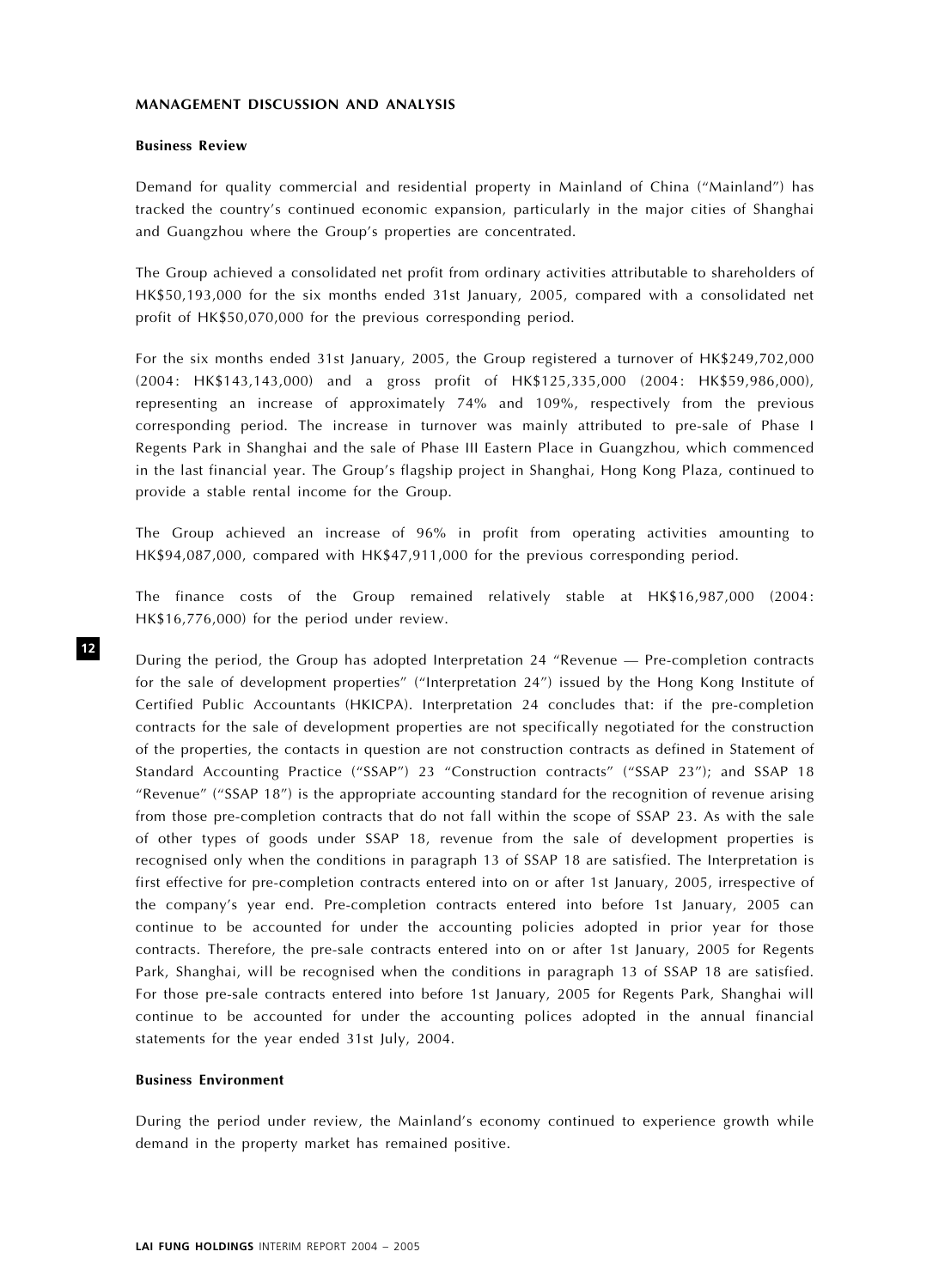## MANAGEMENT DISCUSSION AND ANALYSIS

#### Business Review

Demand for quality commercial and residential property in Mainland of China (''Mainland'') has tracked the country's continued economic expansion, particularly in the major cities of Shanghai and Guangzhou where the Group's properties are concentrated.

The Group achieved a consolidated net profit from ordinary activities attributable to shareholders of HK\$50,193,000 for the six months ended 31st January, 2005, compared with a consolidated net profit of HK\$50,070,000 for the previous corresponding period.

For the six months ended 31st January, 2005, the Group registered a turnover of HK\$249,702,000 (2004: HK\$143,143,000) and a gross profit of HK\$125,335,000 (2004: HK\$59,986,000), representing an increase of approximately 74% and 109%, respectively from the previous corresponding period. The increase in turnover was mainly attributed to pre-sale of Phase I Regents Park in Shanghai and the sale of Phase III Eastern Place in Guangzhou, which commenced in the last financial year. The Group's flagship project in Shanghai, Hong Kong Plaza, continued to provide a stable rental income for the Group.

The Group achieved an increase of 96% in profit from operating activities amounting to HK\$94,087,000, compared with HK\$47,911,000 for the previous corresponding period.

The finance costs of the Group remained relatively stable at HK\$16,987,000 (2004: HK\$16,776,000) for the period under review.

During the period, the Group has adopted Interpretation 24 ''Revenue — Pre-completion contracts for the sale of development properties'' (''Interpretation 24'') issued by the Hong Kong Institute of Certified Public Accountants (HKICPA). Interpretation 24 concludes that: if the pre-completion contracts for the sale of development properties are not specifically negotiated for the construction of the properties, the contacts in question are not construction contracts as defined in Statement of Standard Accounting Practice ("SSAP") 23 "Construction contracts" ("SSAP 23"); and SSAP 18 ''Revenue'' (''SSAP 18'') is the appropriate accounting standard for the recognition of revenue arising from those pre-completion contracts that do not fall within the scope of SSAP 23. As with the sale of other types of goods under SSAP 18, revenue from the sale of development properties is recognised only when the conditions in paragraph 13 of SSAP 18 are satisfied. The Interpretation is first effective for pre-completion contracts entered into on or after 1st January, 2005, irrespective of the company's year end. Pre-completion contracts entered into before 1st January, 2005 can continue to be accounted for under the accounting policies adopted in prior year for those contracts. Therefore, the pre-sale contracts entered into on or after 1st January, 2005 for Regents Park, Shanghai, will be recognised when the conditions in paragraph 13 of SSAP 18 are satisfied. For those pre-sale contracts entered into before 1st January, 2005 for Regents Park, Shanghai will continue to be accounted for under the accounting polices adopted in the annual financial statements for the year ended 31st July, 2004.

## Business Environment

During the period under review, the Mainland's economy continued to experience growth while demand in the property market has remained positive.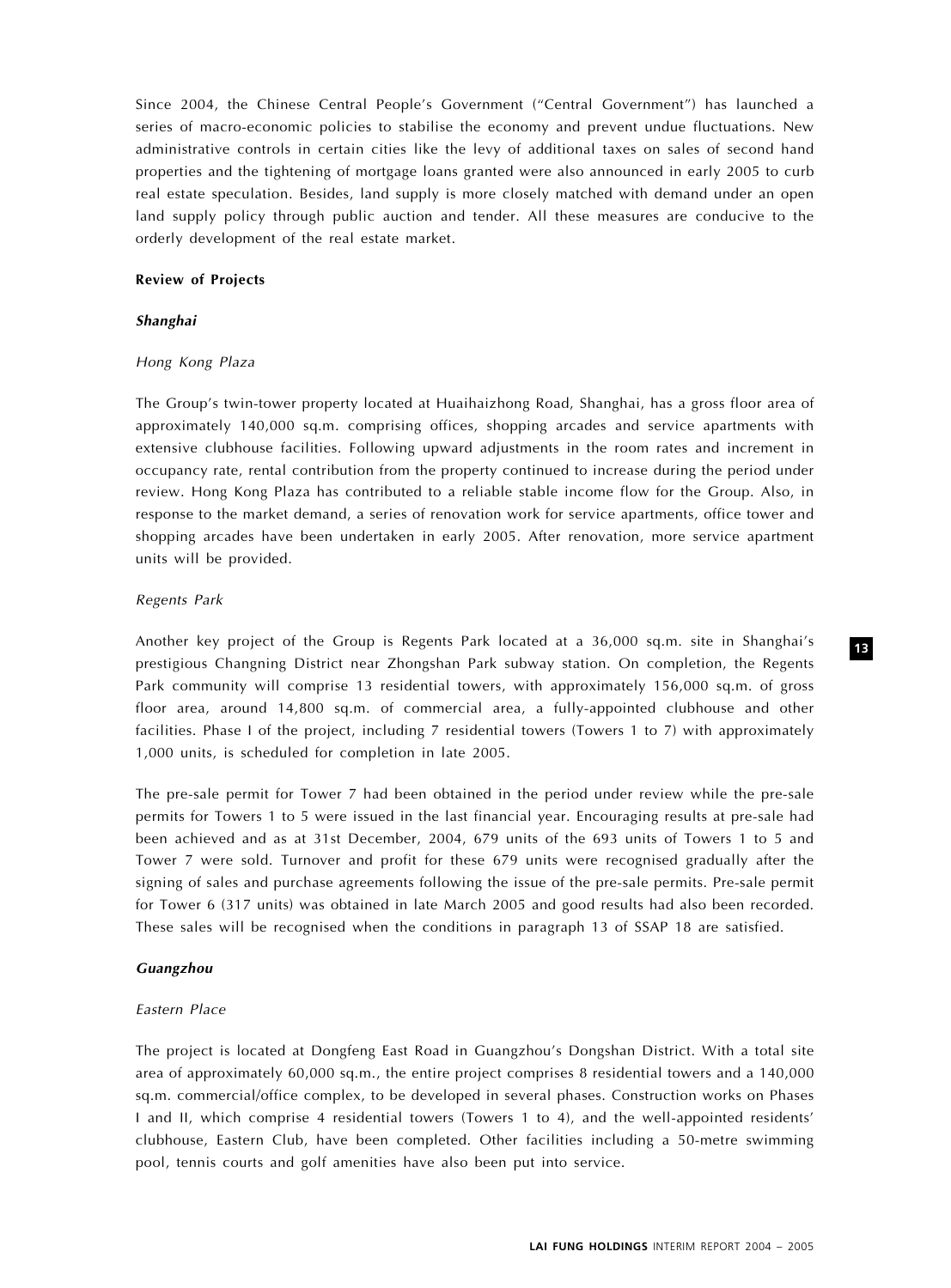Since 2004, the Chinese Central People's Government (''Central Government'') has launched a series of macro-economic policies to stabilise the economy and prevent undue fluctuations. New administrative controls in certain cities like the levy of additional taxes on sales of second hand properties and the tightening of mortgage loans granted were also announced in early 2005 to curb real estate speculation. Besides, land supply is more closely matched with demand under an open land supply policy through public auction and tender. All these measures are conducive to the orderly development of the real estate market.

#### Review of Projects

#### Shanghai

#### Hong Kong Plaza

The Group's twin-tower property located at Huaihaizhong Road, Shanghai, has a gross floor area of approximately 140,000 sq.m. comprising offices, shopping arcades and service apartments with extensive clubhouse facilities. Following upward adjustments in the room rates and increment in occupancy rate, rental contribution from the property continued to increase during the period under review. Hong Kong Plaza has contributed to a reliable stable income flow for the Group. Also, in response to the market demand, a series of renovation work for service apartments, office tower and shopping arcades have been undertaken in early 2005. After renovation, more service apartment units will be provided.

#### Regents Park

Another key project of the Group is Regents Park located at a 36,000 sq.m. site in Shanghai's prestigious Changning District near Zhongshan Park subway station. On completion, the Regents Park community will comprise 13 residential towers, with approximately 156,000 sq.m. of gross floor area, around 14,800 sq.m. of commercial area, a fully-appointed clubhouse and other facilities. Phase I of the project, including 7 residential towers (Towers 1 to 7) with approximately 1,000 units, is scheduled for completion in late 2005.

The pre-sale permit for Tower 7 had been obtained in the period under review while the pre-sale permits for Towers 1 to 5 were issued in the last financial year. Encouraging results at pre-sale had been achieved and as at 31st December, 2004, 679 units of the 693 units of Towers 1 to 5 and Tower 7 were sold. Turnover and profit for these 679 units were recognised gradually after the signing of sales and purchase agreements following the issue of the pre-sale permits. Pre-sale permit for Tower 6 (317 units) was obtained in late March 2005 and good results had also been recorded. These sales will be recognised when the conditions in paragraph 13 of SSAP 18 are satisfied.

#### Guangzhou

#### Eastern Place

The project is located at Dongfeng East Road in Guangzhou's Dongshan District. With a total site area of approximately 60,000 sq.m., the entire project comprises 8 residential towers and a 140,000 sq.m. commercial/office complex, to be developed in several phases. Construction works on Phases I and II, which comprise 4 residential towers (Towers 1 to 4), and the well-appointed residents' clubhouse, Eastern Club, have been completed. Other facilities including a 50-metre swimming pool, tennis courts and golf amenities have also been put into service.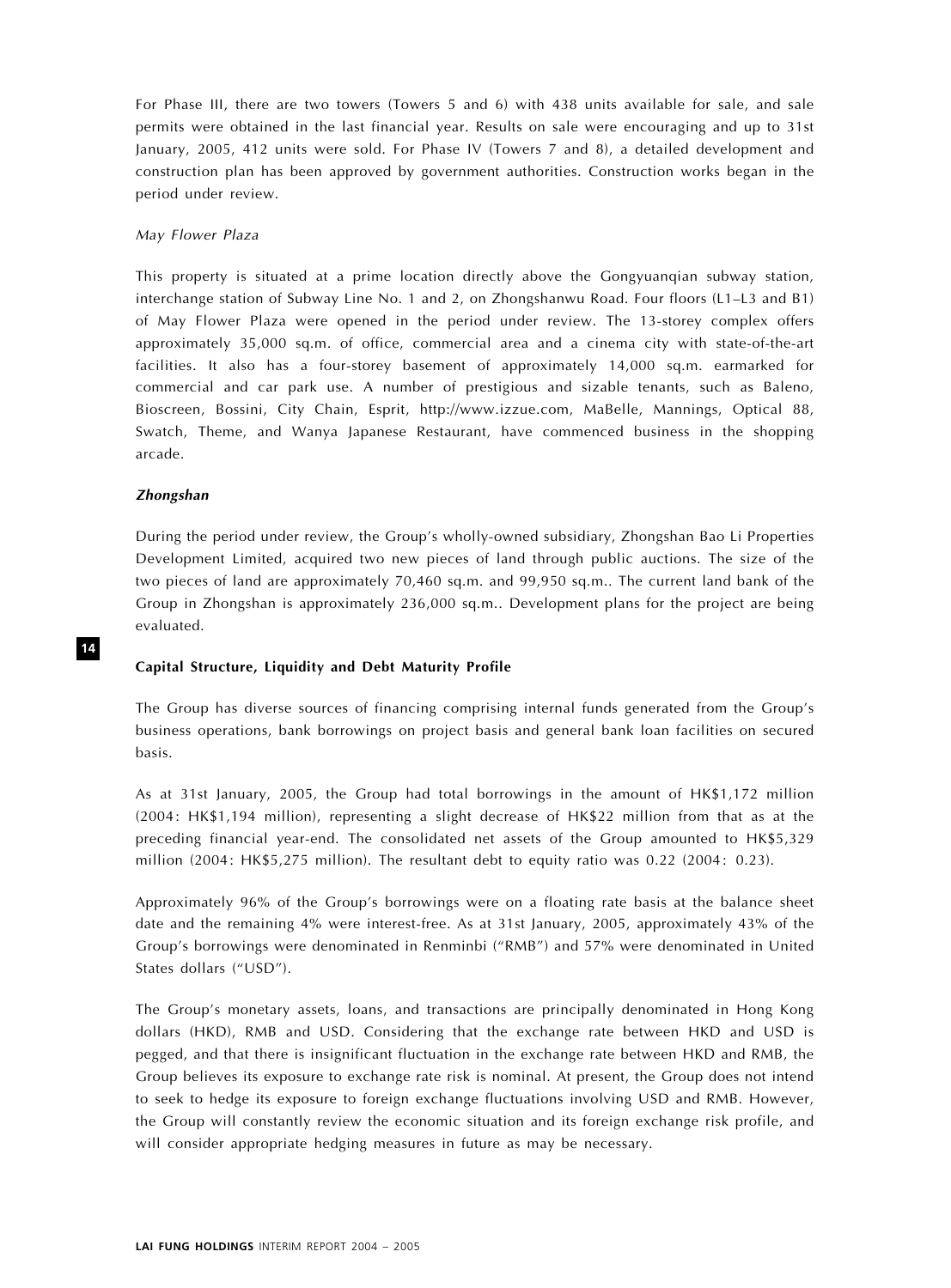For Phase III, there are two towers (Towers 5 and 6) with 438 units available for sale, and sale permits were obtained in the last financial year. Results on sale were encouraging and up to 31st January, 2005, 412 units were sold. For Phase IV (Towers 7 and 8), a detailed development and construction plan has been approved by government authorities. Construction works began in the period under review.

#### May Flower Plaza

This property is situated at a prime location directly above the Gongyuanqian subway station, interchange station of Subway Line No. 1 and 2, on Zhongshanwu Road. Four floors (L1–L3 and B1) of May Flower Plaza were opened in the period under review. The 13-storey complex offers approximately 35,000 sq.m. of office, commercial area and a cinema city with state-of-the-art facilities. It also has a four-storey basement of approximately 14,000 sq.m. earmarked for commercial and car park use. A number of prestigious and sizable tenants, such as Baleno, Bioscreen, Bossini, City Chain, Esprit, http://www.izzue.com, MaBelle, Mannings, Optical 88, Swatch, Theme, and Wanya Japanese Restaurant, have commenced business in the shopping arcade.

#### Zhongshan

During the period under review, the Group's wholly-owned subsidiary, Zhongshan Bao Li Properties Development Limited, acquired two new pieces of land through public auctions. The size of the two pieces of land are approximately 70,460 sq.m. and 99,950 sq.m.. The current land bank of the Group in Zhongshan is approximately 236,000 sq.m.. Development plans for the project are being evaluated.

#### Capital Structure, Liquidity and Debt Maturity Profile

The Group has diverse sources of financing comprising internal funds generated from the Group's business operations, bank borrowings on project basis and general bank loan facilities on secured basis.

As at 31st January, 2005, the Group had total borrowings in the amount of HK\$1,172 million (2004: HK\$1,194 million), representing a slight decrease of HK\$22 million from that as at the preceding financial year-end. The consolidated net assets of the Group amounted to HK\$5,329 million (2004: HK\$5,275 million). The resultant debt to equity ratio was 0.22 (2004: 0.23).

Approximately 96% of the Group's borrowings were on a floating rate basis at the balance sheet date and the remaining 4% were interest-free. As at 31st January, 2005, approximately 43% of the Group's borrowings were denominated in Renminbi (''RMB'') and 57% were denominated in United States dollars ("USD").

The Group's monetary assets, loans, and transactions are principally denominated in Hong Kong dollars (HKD), RMB and USD. Considering that the exchange rate between HKD and USD is pegged, and that there is insignificant fluctuation in the exchange rate between HKD and RMB, the Group believes its exposure to exchange rate risk is nominal. At present, the Group does not intend to seek to hedge its exposure to foreign exchange fluctuations involving USD and RMB. However, the Group will constantly review the economic situation and its foreign exchange risk profile, and will consider appropriate hedging measures in future as may be necessary.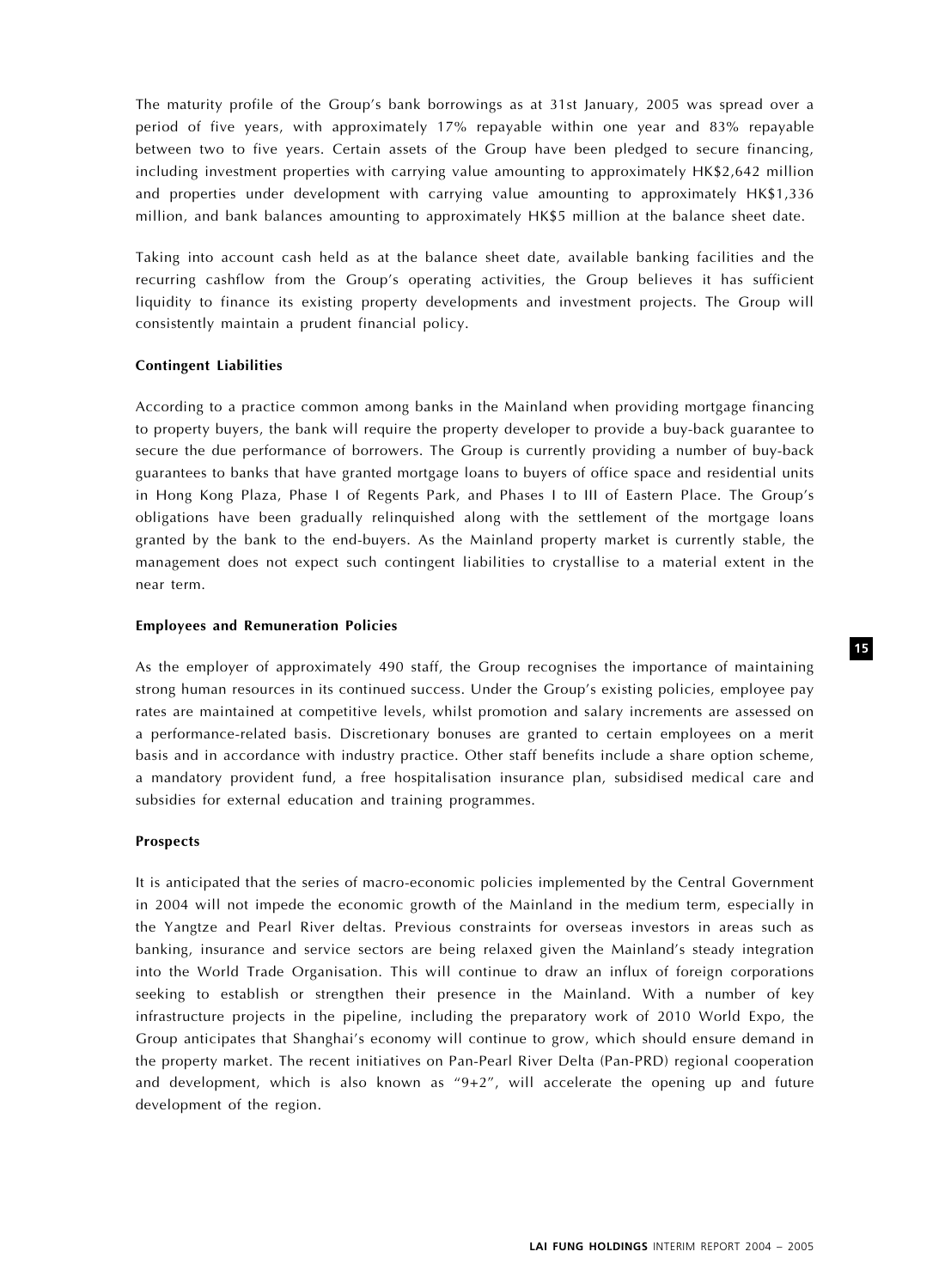The maturity profile of the Group's bank borrowings as at 31st January, 2005 was spread over a period of five years, with approximately 17% repayable within one year and 83% repayable between two to five years. Certain assets of the Group have been pledged to secure financing, including investment properties with carrying value amounting to approximately HK\$2,642 million and properties under development with carrying value amounting to approximately HK\$1,336 million, and bank balances amounting to approximately HK\$5 million at the balance sheet date.

Taking into account cash held as at the balance sheet date, available banking facilities and the recurring cashflow from the Group's operating activities, the Group believes it has sufficient liquidity to finance its existing property developments and investment projects. The Group will consistently maintain a prudent financial policy.

#### Contingent Liabilities

According to a practice common among banks in the Mainland when providing mortgage financing to property buyers, the bank will require the property developer to provide a buy-back guarantee to secure the due performance of borrowers. The Group is currently providing a number of buy-back guarantees to banks that have granted mortgage loans to buyers of office space and residential units in Hong Kong Plaza, Phase I of Regents Park, and Phases I to III of Eastern Place. The Group's obligations have been gradually relinquished along with the settlement of the mortgage loans granted by the bank to the end-buyers. As the Mainland property market is currently stable, the management does not expect such contingent liabilities to crystallise to a material extent in the near term.

#### Employees and Remuneration Policies

As the employer of approximately 490 staff, the Group recognises the importance of maintaining strong human resources in its continued success. Under the Group's existing policies, employee pay rates are maintained at competitive levels, whilst promotion and salary increments are assessed on a performance-related basis. Discretionary bonuses are granted to certain employees on a merit basis and in accordance with industry practice. Other staff benefits include a share option scheme, a mandatory provident fund, a free hospitalisation insurance plan, subsidised medical care and subsidies for external education and training programmes.

#### Prospects

It is anticipated that the series of macro-economic policies implemented by the Central Government in 2004 will not impede the economic growth of the Mainland in the medium term, especially in the Yangtze and Pearl River deltas. Previous constraints for overseas investors in areas such as banking, insurance and service sectors are being relaxed given the Mainland's steady integration into the World Trade Organisation. This will continue to draw an influx of foreign corporations seeking to establish or strengthen their presence in the Mainland. With a number of key infrastructure projects in the pipeline, including the preparatory work of 2010 World Expo, the Group anticipates that Shanghai's economy will continue to grow, which should ensure demand in the property market. The recent initiatives on Pan-Pearl River Delta (Pan-PRD) regional cooperation and development, which is also known as " $9+2$ ", will accelerate the opening up and future development of the region.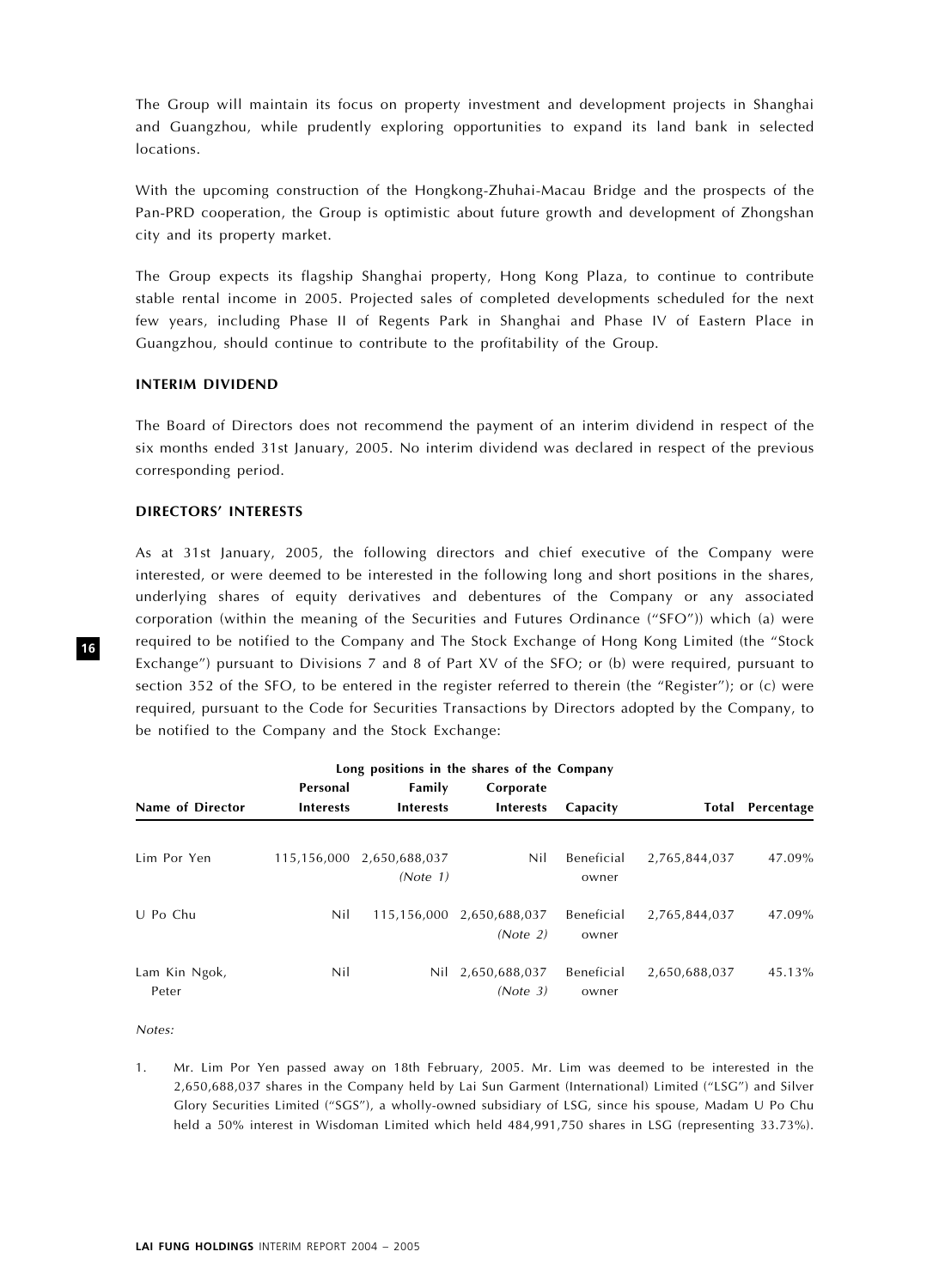The Group will maintain its focus on property investment and development projects in Shanghai and Guangzhou, while prudently exploring opportunities to expand its land bank in selected locations.

With the upcoming construction of the Hongkong-Zhuhai-Macau Bridge and the prospects of the Pan-PRD cooperation, the Group is optimistic about future growth and development of Zhongshan city and its property market.

The Group expects its flagship Shanghai property, Hong Kong Plaza, to continue to contribute stable rental income in 2005. Projected sales of completed developments scheduled for the next few years, including Phase II of Regents Park in Shanghai and Phase IV of Eastern Place in Guangzhou, should continue to contribute to the profitability of the Group.

#### INTERIM DIVIDEND

The Board of Directors does not recommend the payment of an interim dividend in respect of the six months ended 31st January, 2005. No interim dividend was declared in respect of the previous corresponding period.

#### DIRECTORS' INTERESTS

As at 31st January, 2005, the following directors and chief executive of the Company were interested, or were deemed to be interested in the following long and short positions in the shares, underlying shares of equity derivatives and debentures of the Company or any associated corporation (within the meaning of the Securities and Futures Ordinance ("SFO")) which (a) were required to be notified to the Company and The Stock Exchange of Hong Kong Limited (the ''Stock Exchange") pursuant to Divisions 7 and 8 of Part XV of the SFO; or (b) were required, pursuant to section 352 of the SFO, to be entered in the register referred to therein (the "Register"); or (c) were required, pursuant to the Code for Securities Transactions by Directors adopted by the Company, to be notified to the Company and the Stock Exchange:

| Long positions in the shares of the Company |                  |                                       |                                       |                     |               |                         |
|---------------------------------------------|------------------|---------------------------------------|---------------------------------------|---------------------|---------------|-------------------------|
|                                             | Personal         | Family<br><b>Interests</b>            | Corporate<br><b>Interests</b>         | Capacity            |               | <b>Total Percentage</b> |
| Name of Director                            | <b>Interests</b> |                                       |                                       |                     |               |                         |
| Lim Por Yen                                 |                  | 115,156,000 2,650,688,037<br>(Note 1) | Nil                                   | Beneficial<br>owner | 2,765,844,037 | 47.09%                  |
| U Po Chu                                    | Nil              |                                       | 115,156,000 2,650,688,037<br>(Note 2) | Beneficial<br>owner | 2,765,844,037 | 47.09%                  |
| Lam Kin Ngok,<br>Peter                      | Nil              |                                       | Nil 2,650,688,037<br>(Note 3)         | Beneficial<br>owner | 2,650,688,037 | 45.13%                  |

Notes:

1. Mr. Lim Por Yen passed away on 18th February, 2005. Mr. Lim was deemed to be interested in the 2,650,688,037 shares in the Company held by Lai Sun Garment (International) Limited (''LSG'') and Silver Glory Securities Limited (''SGS''), a wholly-owned subsidiary of LSG, since his spouse, Madam U Po Chu held a 50% interest in Wisdoman Limited which held 484,991,750 shares in LSG (representing 33.73%).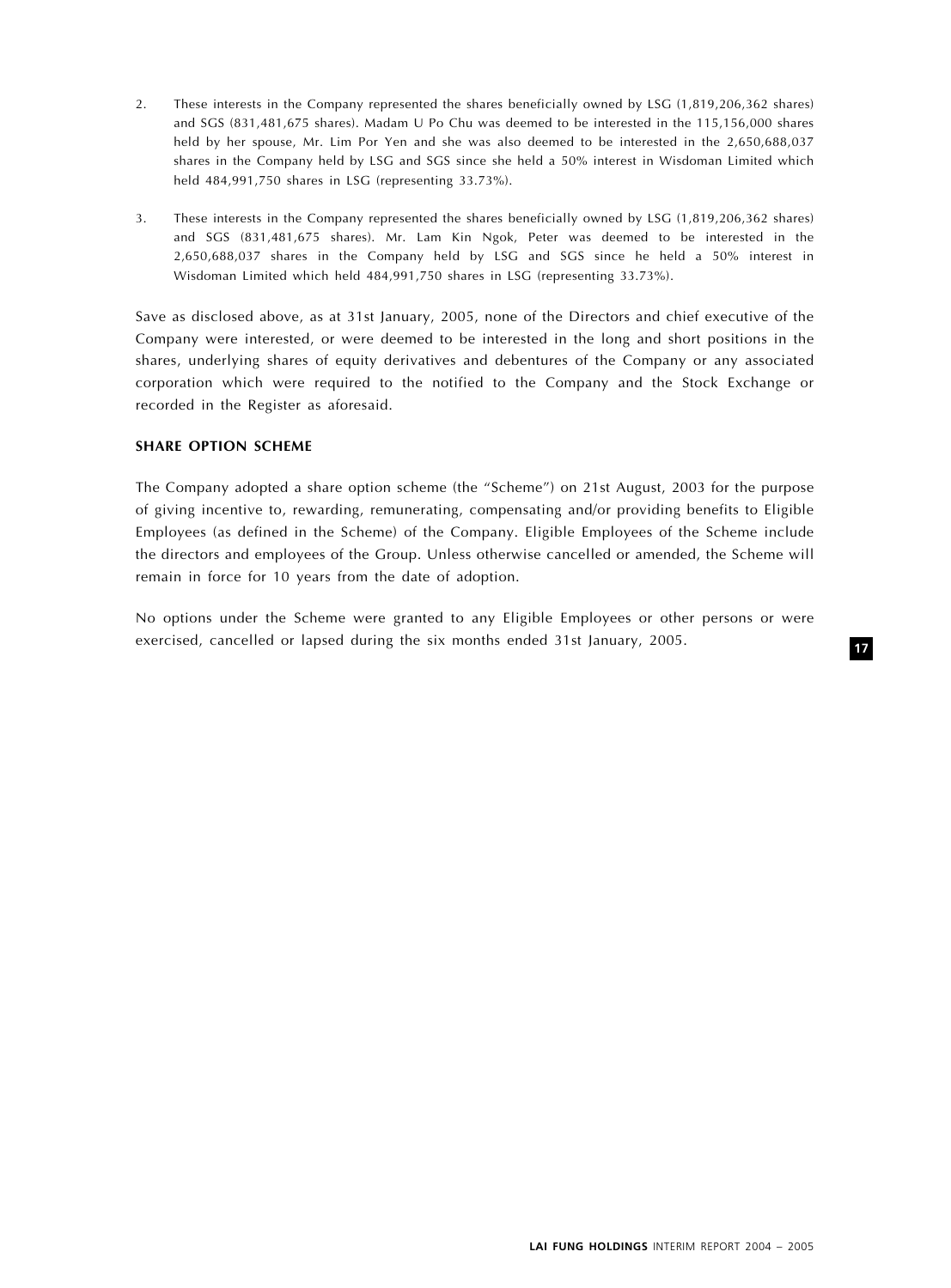- 2. These interests in the Company represented the shares beneficially owned by LSG (1,819,206,362 shares) and SGS (831,481,675 shares). Madam U Po Chu was deemed to be interested in the 115,156,000 shares held by her spouse, Mr. Lim Por Yen and she was also deemed to be interested in the 2,650,688,037 shares in the Company held by LSG and SGS since she held a 50% interest in Wisdoman Limited which held 484,991,750 shares in LSG (representing 33.73%).
- 3. These interests in the Company represented the shares beneficially owned by LSG (1,819,206,362 shares) and SGS (831,481,675 shares). Mr. Lam Kin Ngok, Peter was deemed to be interested in the 2,650,688,037 shares in the Company held by LSG and SGS since he held a 50% interest in Wisdoman Limited which held 484,991,750 shares in LSG (representing 33.73%).

Save as disclosed above, as at 31st January, 2005, none of the Directors and chief executive of the Company were interested, or were deemed to be interested in the long and short positions in the shares, underlying shares of equity derivatives and debentures of the Company or any associated corporation which were required to the notified to the Company and the Stock Exchange or recorded in the Register as aforesaid.

#### SHARE OPTION SCHEME

The Company adopted a share option scheme (the "Scheme") on 21st August, 2003 for the purpose of giving incentive to, rewarding, remunerating, compensating and/or providing benefits to Eligible Employees (as defined in the Scheme) of the Company. Eligible Employees of the Scheme include the directors and employees of the Group. Unless otherwise cancelled or amended, the Scheme will remain in force for 10 years from the date of adoption.

No options under the Scheme were granted to any Eligible Employees or other persons or were exercised, cancelled or lapsed during the six months ended 31st January, 2005.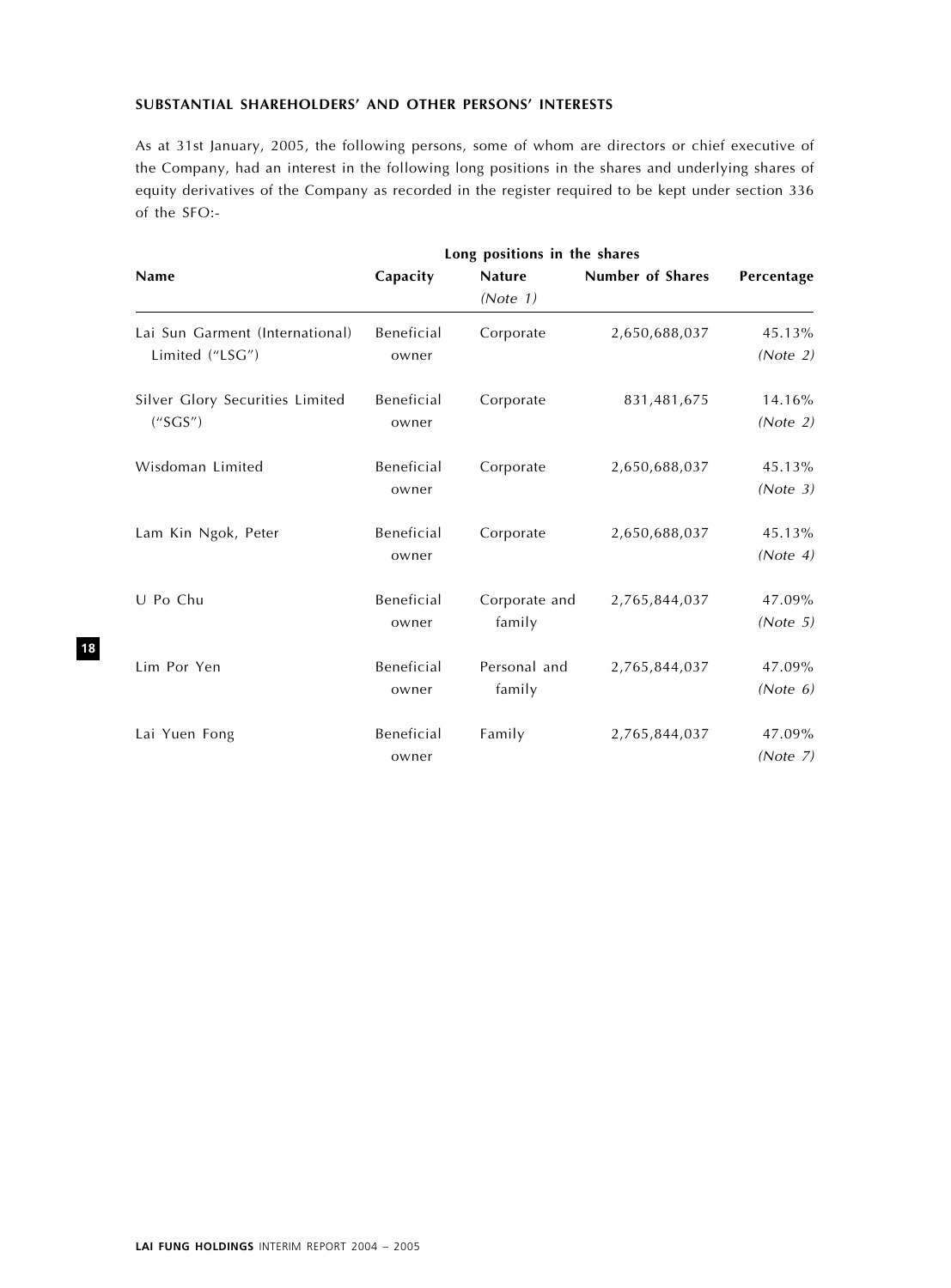# SUBSTANTIAL SHAREHOLDERS' AND OTHER PERSONS' INTERESTS

As at 31st January, 2005, the following persons, some of whom are directors or chief executive of the Company, had an interest in the following long positions in the shares and underlying shares of equity derivatives of the Company as recorded in the register required to be kept under section 336 of the SFO:-

|                                                    | Long positions in the shares |                           |                         |                    |
|----------------------------------------------------|------------------------------|---------------------------|-------------------------|--------------------|
| <b>Name</b>                                        | Capacity                     | <b>Nature</b><br>(Note 1) | <b>Number of Shares</b> | Percentage         |
| Lai Sun Garment (International)<br>Limited ("LSG") | Beneficial<br>owner          | Corporate                 | 2,650,688,037           | 45.13%<br>(Note 2) |
| Silver Glory Securities Limited<br>(''SGS'')       | Beneficial<br>owner          | Corporate                 | 831,481,675             | 14.16%<br>(Note 2) |
| Wisdoman Limited                                   | Beneficial<br>owner          | Corporate                 | 2,650,688,037           | 45.13%<br>(Note 3) |
| Lam Kin Ngok, Peter                                | Beneficial<br>owner          | Corporate                 | 2,650,688,037           | 45.13%<br>(Note 4) |
| U Po Chu                                           | Beneficial<br>owner          | Corporate and<br>family   | 2,765,844,037           | 47.09%<br>(Note 5) |
| Lim Por Yen                                        | Beneficial<br>owner          | Personal and<br>family    | 2,765,844,037           | 47.09%<br>(Note 6) |
| Lai Yuen Fong                                      | Beneficial<br>owner          | Family                    | 2,765,844,037           | 47.09%<br>(Note 7) |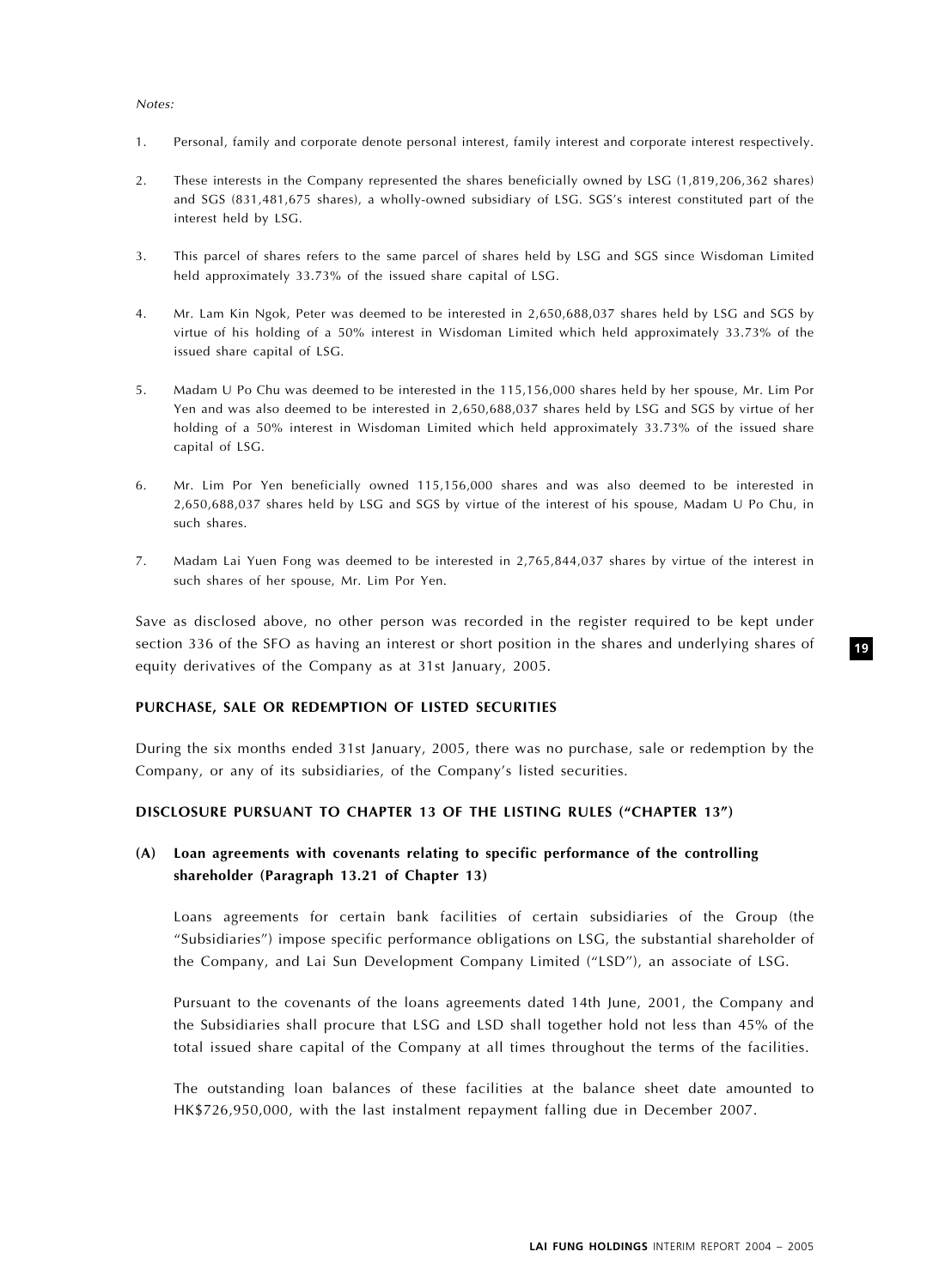#### Notes:

- 1. Personal, family and corporate denote personal interest, family interest and corporate interest respectively.
- 2. These interests in the Company represented the shares beneficially owned by LSG (1,819,206,362 shares) and SGS (831,481,675 shares), a wholly-owned subsidiary of LSG. SGS's interest constituted part of the interest held by LSG.
- 3. This parcel of shares refers to the same parcel of shares held by LSG and SGS since Wisdoman Limited held approximately 33.73% of the issued share capital of LSG.
- 4. Mr. Lam Kin Ngok, Peter was deemed to be interested in 2,650,688,037 shares held by LSG and SGS by virtue of his holding of a 50% interest in Wisdoman Limited which held approximately 33.73% of the issued share capital of LSG.
- 5. Madam U Po Chu was deemed to be interested in the 115,156,000 shares held by her spouse, Mr. Lim Por Yen and was also deemed to be interested in 2,650,688,037 shares held by LSG and SGS by virtue of her holding of a 50% interest in Wisdoman Limited which held approximately 33.73% of the issued share capital of LSG.
- 6. Mr. Lim Por Yen beneficially owned 115,156,000 shares and was also deemed to be interested in 2,650,688,037 shares held by LSG and SGS by virtue of the interest of his spouse, Madam U Po Chu, in such shares.
- 7. Madam Lai Yuen Fong was deemed to be interested in 2,765,844,037 shares by virtue of the interest in such shares of her spouse, Mr. Lim Por Yen.

Save as disclosed above, no other person was recorded in the register required to be kept under section 336 of the SFO as having an interest or short position in the shares and underlying shares of equity derivatives of the Company as at 31st January, 2005.

#### PURCHASE, SALE OR REDEMPTION OF LISTED SECURITIES

During the six months ended 31st January, 2005, there was no purchase, sale or redemption by the Company, or any of its subsidiaries, of the Company's listed securities.

#### DISCLOSURE PURSUANT TO CHAPTER 13 OF THE LISTING RULES ("CHAPTER 13")

# (A) Loan agreements with covenants relating to specific performance of the controlling shareholder (Paragraph 13.21 of Chapter 13)

Loans agreements for certain bank facilities of certain subsidiaries of the Group (the ''Subsidiaries'') impose specific performance obligations on LSG, the substantial shareholder of the Company, and Lai Sun Development Company Limited (''LSD''), an associate of LSG.

Pursuant to the covenants of the loans agreements dated 14th June, 2001, the Company and the Subsidiaries shall procure that LSG and LSD shall together hold not less than 45% of the total issued share capital of the Company at all times throughout the terms of the facilities.

The outstanding loan balances of these facilities at the balance sheet date amounted to HK\$726,950,000, with the last instalment repayment falling due in December 2007.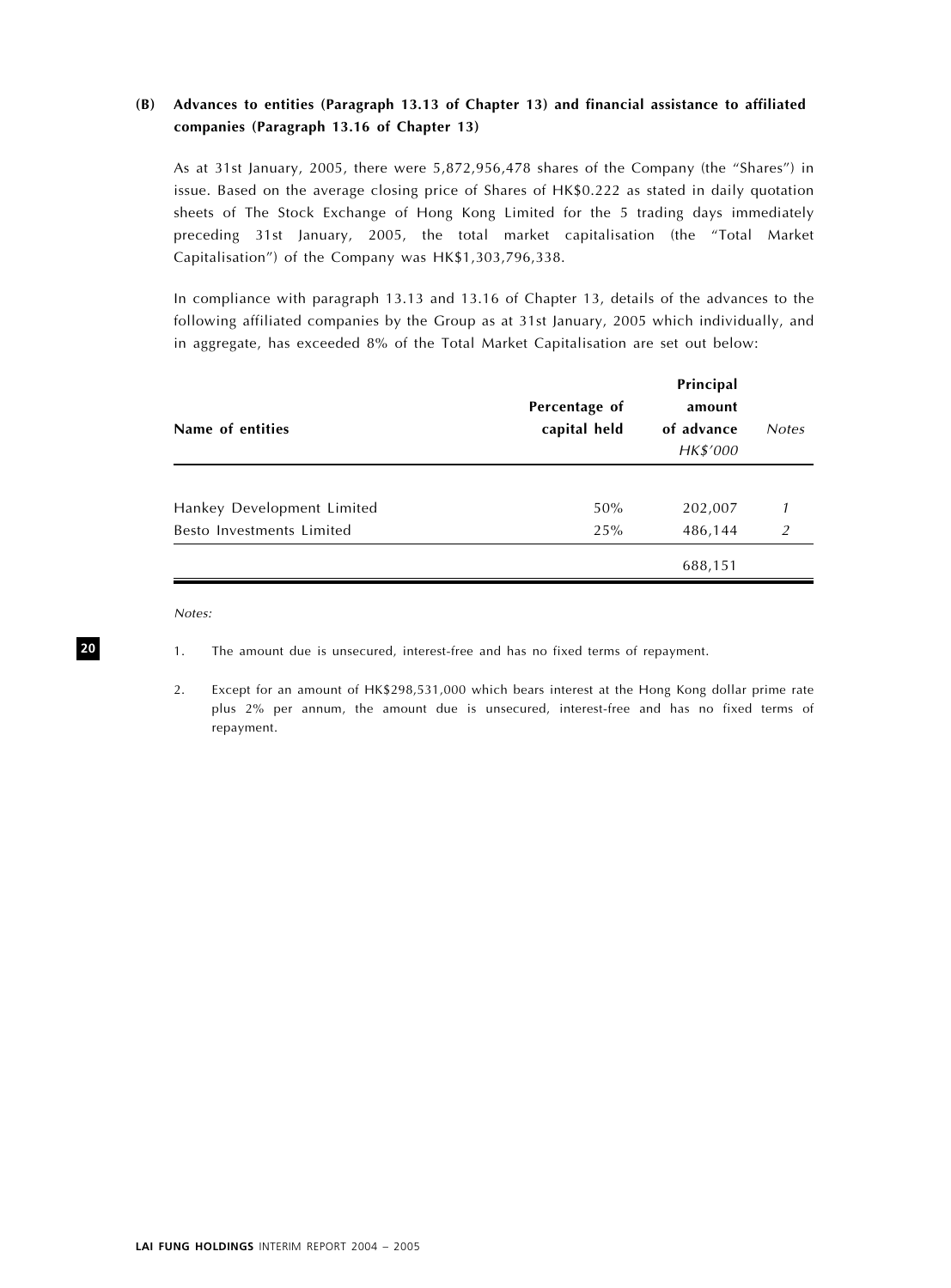# (B) Advances to entities (Paragraph 13.13 of Chapter 13) and financial assistance to affiliated companies (Paragraph 13.16 of Chapter 13)

As at 31st January, 2005, there were 5,872,956,478 shares of the Company (the ''Shares'') in issue. Based on the average closing price of Shares of HK\$0.222 as stated in daily quotation sheets of The Stock Exchange of Hong Kong Limited for the 5 trading days immediately preceding 31st January, 2005, the total market capitalisation (the ''Total Market Capitalisation'') of the Company was HK\$1,303,796,338.

In compliance with paragraph 13.13 and 13.16 of Chapter 13, details of the advances to the following affiliated companies by the Group as at 31st January, 2005 which individually, and in aggregate, has exceeded 8% of the Total Market Capitalisation are set out below:

| Name of entities           | Percentage of<br>capital held | Principal<br>amount<br>of advance<br>HK\$'000 | <b>Notes</b>   |
|----------------------------|-------------------------------|-----------------------------------------------|----------------|
|                            |                               |                                               |                |
| Hankey Development Limited | 50%                           | 202,007                                       |                |
| Besto Investments Limited  | 25%                           | 486,144                                       | $\overline{2}$ |
|                            |                               | 688,151                                       |                |

Notes:

2. Except for an amount of HK\$298,531,000 which bears interest at the Hong Kong dollar prime rate plus 2% per annum, the amount due is unsecured, interest-free and has no fixed terms of repayment.

<sup>1.</sup> The amount due is unsecured, interest-free and has no fixed terms of repayment.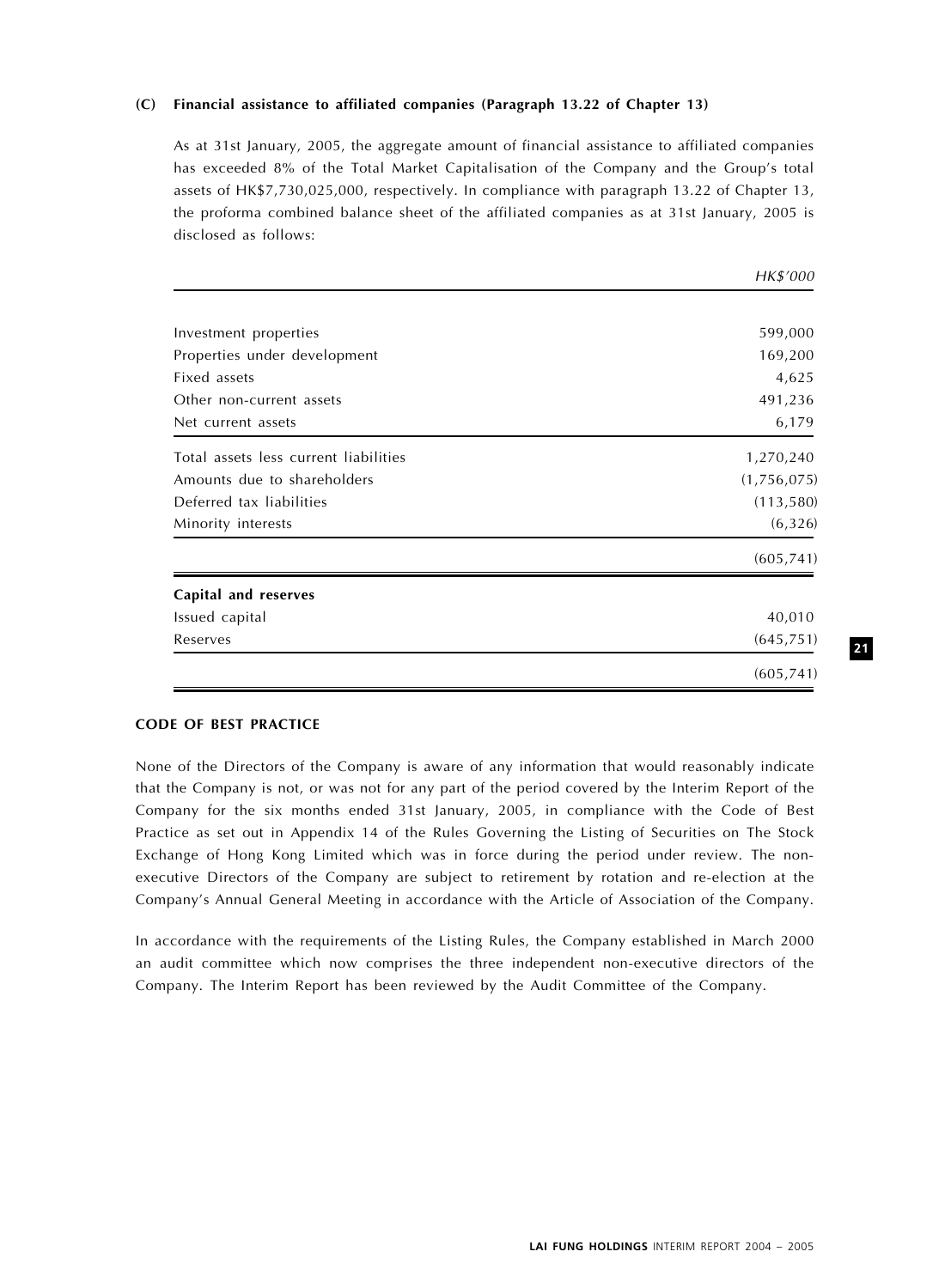## (C) Financial assistance to affiliated companies (Paragraph 13.22 of Chapter 13)

As at 31st January, 2005, the aggregate amount of financial assistance to affiliated companies has exceeded 8% of the Total Market Capitalisation of the Company and the Group's total assets of HK\$7,730,025,000, respectively. In compliance with paragraph 13.22 of Chapter 13, the proforma combined balance sheet of the affiliated companies as at 31st January, 2005 is disclosed as follows:

|                                       | HKY UUU     |
|---------------------------------------|-------------|
|                                       |             |
| Investment properties                 | 599,000     |
| Properties under development          | 169,200     |
| Fixed assets                          | 4,625       |
| Other non-current assets              | 491,236     |
| Net current assets                    | 6,179       |
| Total assets less current liabilities | 1,270,240   |
| Amounts due to shareholders           | (1,756,075) |
| Deferred tax liabilities              | (113, 580)  |
| Minority interests                    | (6, 326)    |
|                                       | (605, 741)  |
| Capital and reserves                  |             |
| Issued capital                        | 40,010      |
| Reserves                              | (645, 751)  |
|                                       | (605, 741)  |

## CODE OF BEST PRACTICE

None of the Directors of the Company is aware of any information that would reasonably indicate that the Company is not, or was not for any part of the period covered by the Interim Report of the Company for the six months ended 31st January, 2005, in compliance with the Code of Best Practice as set out in Appendix 14 of the Rules Governing the Listing of Securities on The Stock Exchange of Hong Kong Limited which was in force during the period under review. The nonexecutive Directors of the Company are subject to retirement by rotation and re-election at the Company's Annual General Meeting in accordance with the Article of Association of the Company.

In accordance with the requirements of the Listing Rules, the Company established in March 2000 an audit committee which now comprises the three independent non-executive directors of the Company. The Interim Report has been reviewed by the Audit Committee of the Company.

21

 $H(x * (000$